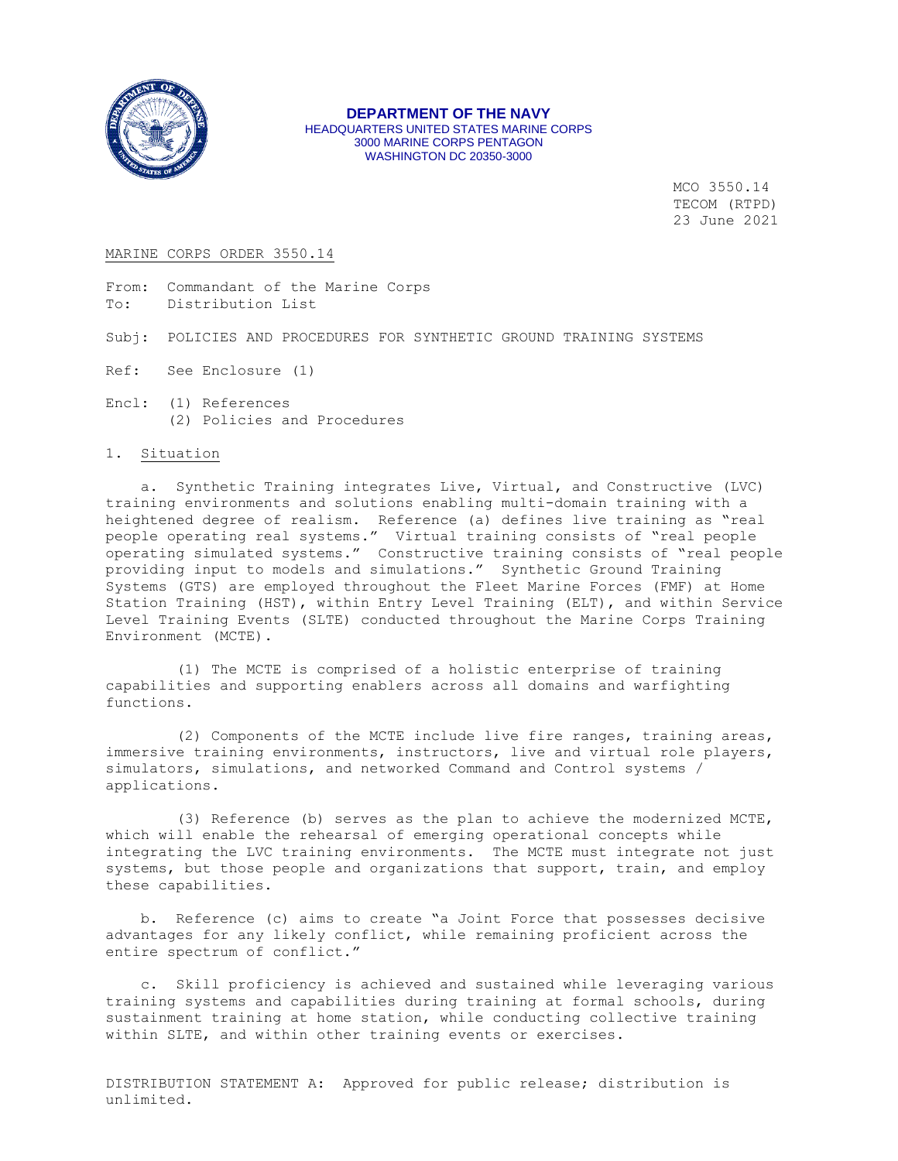

#### **DEPARTMENT OF THE NAVY** HEADQUARTERS UNITED STATES MARINE CORPS 3000 MARINE CORPS PENTAGON WASHINGTON DC 20350-3000

MCO 3550.14 TECOM (RTPD) 23 June 2021

#### MARINE CORPS ORDER 3550.14

From: Commandant of the Marine Corps To: Distribution List

Subj: POLICIES AND PROCEDURES FOR SYNTHETIC GROUND TRAINING SYSTEMS

- Ref: See Enclosure (1)
- Encl: (1) References (2) Policies and Procedures

## 1. Situation

 a. Synthetic Training integrates Live, Virtual, and Constructive (LVC) training environments and solutions enabling multi-domain training with a heightened degree of realism. Reference (a) defines live training as "real people operating real systems." Virtual training consists of "real people operating simulated systems." Constructive training consists of "real people providing input to models and simulations." Synthetic Ground Training Systems (GTS) are employed throughout the Fleet Marine Forces (FMF) at Home Station Training (HST), within Entry Level Training (ELT), and within Service Level Training Events (SLTE) conducted throughout the Marine Corps Training Environment (MCTE).

 (1) The MCTE is comprised of a holistic enterprise of training capabilities and supporting enablers across all domains and warfighting functions.

 (2) Components of the MCTE include live fire ranges, training areas, immersive training environments, instructors, live and virtual role players, simulators, simulations, and networked Command and Control systems / applications.

 (3) Reference (b) serves as the plan to achieve the modernized MCTE, which will enable the rehearsal of emerging operational concepts while integrating the LVC training environments. The MCTE must integrate not just systems, but those people and organizations that support, train, and employ these capabilities.

 b. Reference (c) aims to create "a Joint Force that possesses decisive advantages for any likely conflict, while remaining proficient across the entire spectrum of conflict."

 c. Skill proficiency is achieved and sustained while leveraging various training systems and capabilities during training at formal schools, during sustainment training at home station, while conducting collective training within SLTE, and within other training events or exercises.

DISTRIBUTION STATEMENT A: Approved for public release; distribution is unlimited.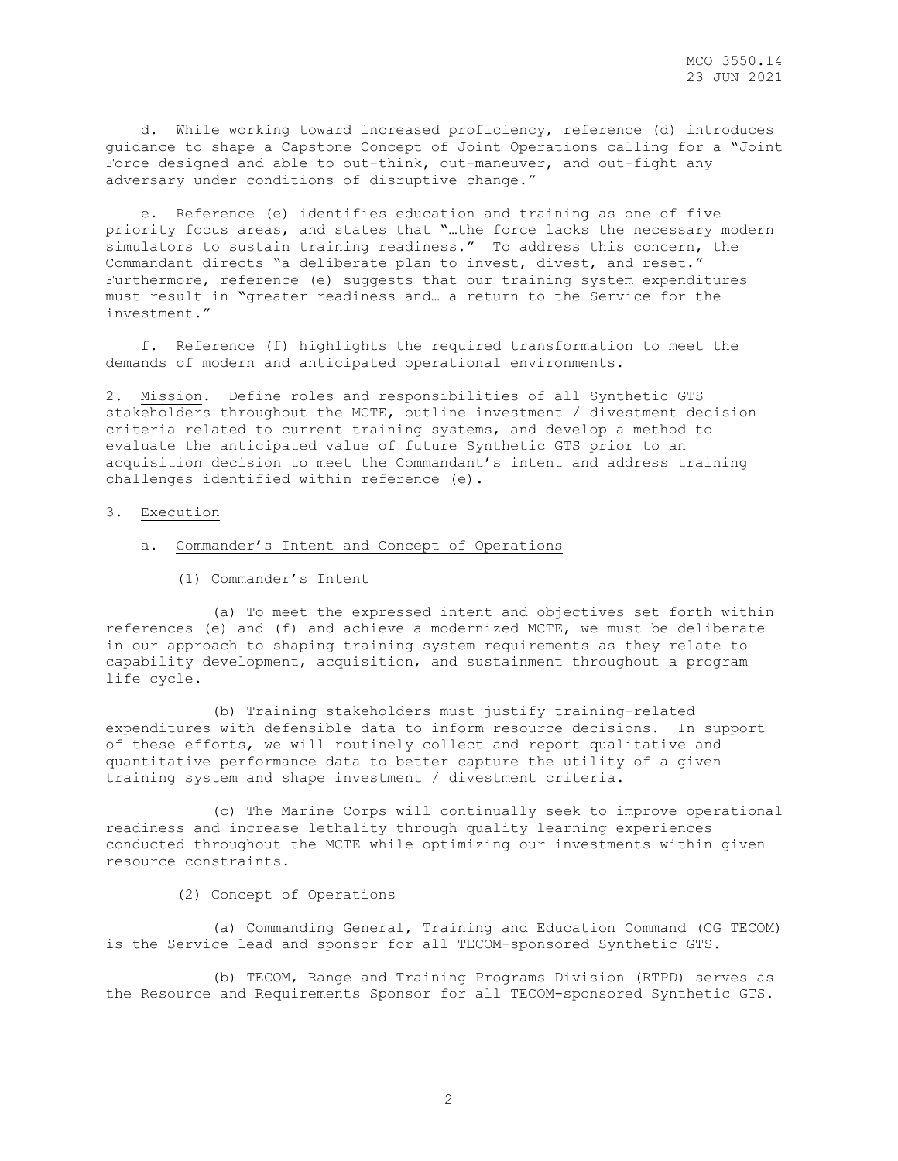d. While working toward increased proficiency, reference (d) introduces guidance to shape a Capstone Concept of Joint Operations calling for a "Joint Force designed and able to out-think, out-maneuver, and out-fight any adversary under conditions of disruptive change."

 e. Reference (e) identifies education and training as one of five priority focus areas, and states that "…the force lacks the necessary modern simulators to sustain training readiness." To address this concern, the Commandant directs "a deliberate plan to invest, divest, and reset." Furthermore, reference (e) suggests that our training system expenditures must result in "greater readiness and… a return to the Service for the investment."

 f. Reference (f) highlights the required transformation to meet the demands of modern and anticipated operational environments.

2. Mission. Define roles and responsibilities of all Synthetic GTS stakeholders throughout the MCTE, outline investment / divestment decision criteria related to current training systems, and develop a method to evaluate the anticipated value of future Synthetic GTS prior to an acquisition decision to meet the Commandant's intent and address training challenges identified within reference (e).

#### 3. Execution

- a. Commander's Intent and Concept of Operations
	- (1) Commander's Intent

 (a) To meet the expressed intent and objectives set forth within references (e) and (f) and achieve a modernized MCTE, we must be deliberate in our approach to shaping training system requirements as they relate to capability development, acquisition, and sustainment throughout a program life cycle.

 (b) Training stakeholders must justify training-related expenditures with defensible data to inform resource decisions. In support of these efforts, we will routinely collect and report qualitative and quantitative performance data to better capture the utility of a given training system and shape investment / divestment criteria.

 (c) The Marine Corps will continually seek to improve operational readiness and increase lethality through quality learning experiences conducted throughout the MCTE while optimizing our investments within given resource constraints.

#### (2) Concept of Operations

 (a) Commanding General, Training and Education Command (CG TECOM) is the Service lead and sponsor for all TECOM-sponsored Synthetic GTS.

 (b) TECOM, Range and Training Programs Division (RTPD) serves as the Resource and Requirements Sponsor for all TECOM-sponsored Synthetic GTS.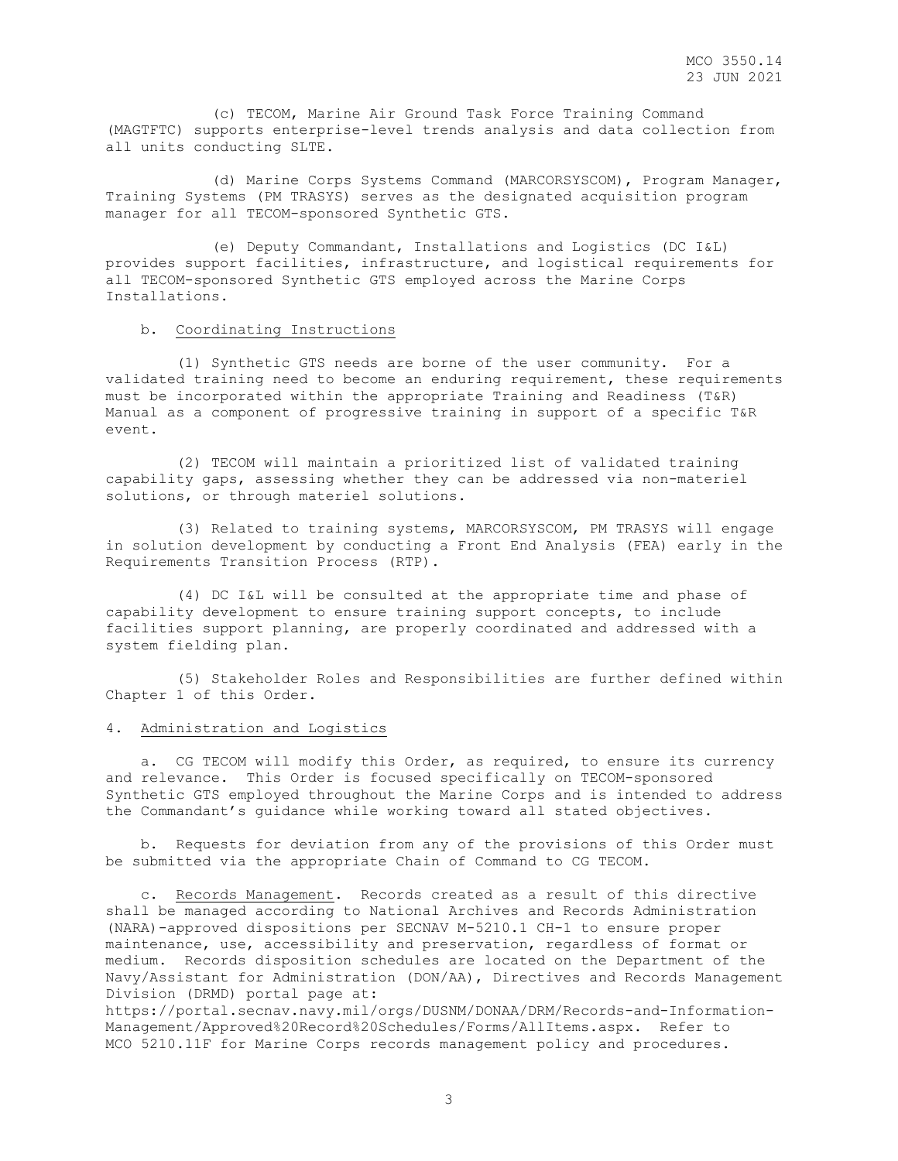(c) TECOM, Marine Air Ground Task Force Training Command (MAGTFTC) supports enterprise-level trends analysis and data collection from all units conducting SLTE.

 (d) Marine Corps Systems Command (MARCORSYSCOM), Program Manager, Training Systems (PM TRASYS) serves as the designated acquisition program manager for all TECOM-sponsored Synthetic GTS.

 (e) Deputy Commandant, Installations and Logistics (DC I&L) provides support facilities, infrastructure, and logistical requirements for all TECOM-sponsored Synthetic GTS employed across the Marine Corps Installations.

## b. Coordinating Instructions

 (1) Synthetic GTS needs are borne of the user community. For a validated training need to become an enduring requirement, these requirements must be incorporated within the appropriate Training and Readiness (T&R) Manual as a component of progressive training in support of a specific T&R event.

 (2) TECOM will maintain a prioritized list of validated training capability gaps, assessing whether they can be addressed via non-materiel solutions, or through materiel solutions.

 (3) Related to training systems, MARCORSYSCOM, PM TRASYS will engage in solution development by conducting a Front End Analysis (FEA) early in the Requirements Transition Process (RTP).

 (4) DC I&L will be consulted at the appropriate time and phase of capability development to ensure training support concepts, to include facilities support planning, are properly coordinated and addressed with a system fielding plan.

 (5) Stakeholder Roles and Responsibilities are further defined within Chapter 1 of this Order.

## 4. Administration and Logistics

 a. CG TECOM will modify this Order, as required, to ensure its currency and relevance. This Order is focused specifically on TECOM-sponsored Synthetic GTS employed throughout the Marine Corps and is intended to address the Commandant's guidance while working toward all stated objectives.

 b. Requests for deviation from any of the provisions of this Order must be submitted via the appropriate Chain of Command to CG TECOM.

 c. Records Management. Records created as a result of this directive shall be managed according to National Archives and Records Administration (NARA)-approved dispositions per SECNAV M-5210.1 CH-1 to ensure proper maintenance, use, accessibility and preservation, regardless of format or medium. Records disposition schedules are located on the Department of the Navy/Assistant for Administration (DON/AA), Directives and Records Management Division (DRMD) portal page at:

https://portal.secnav.navy.mil/orgs/DUSNM/DONAA/DRM/Records-and-Information-Management/Approved%20Record%20Schedules/Forms/AllItems.aspx. Refer to MCO 5210.11F for Marine Corps records management policy and procedures.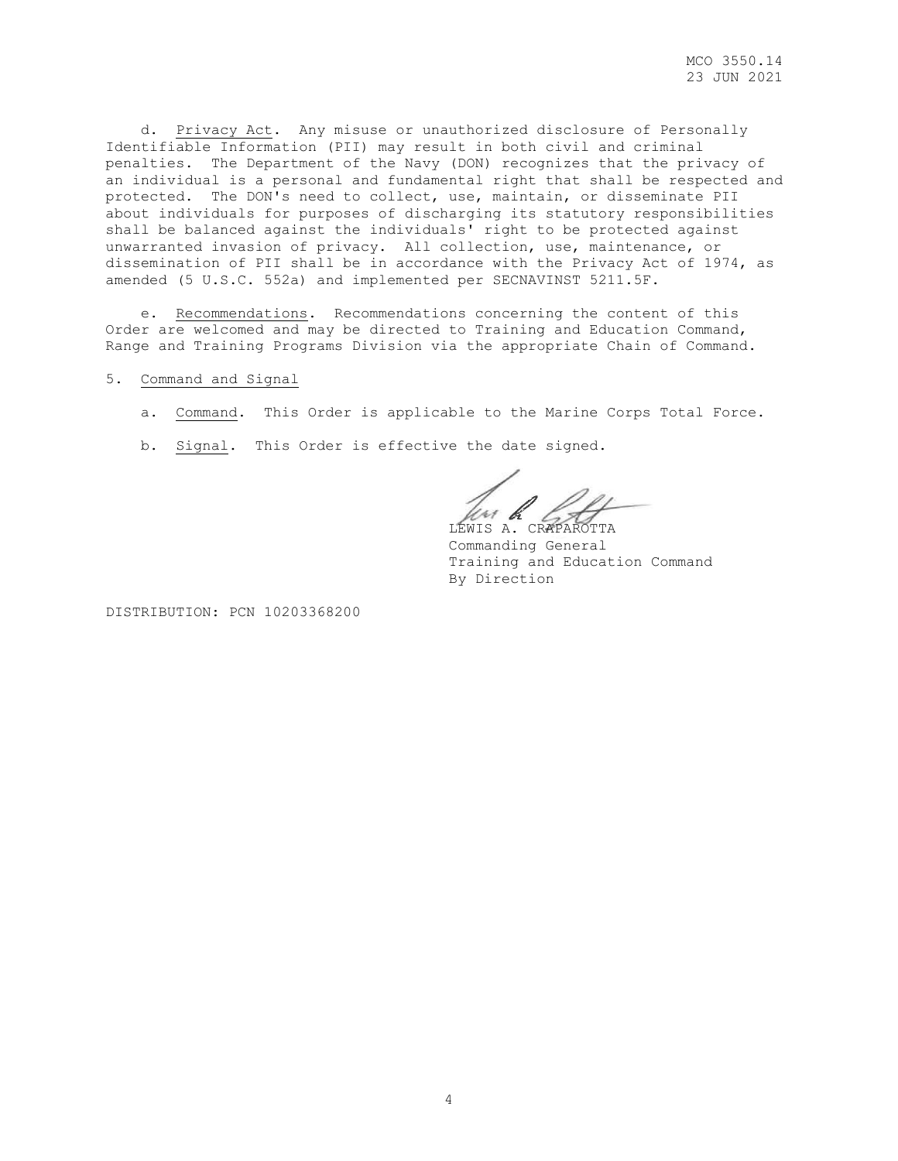d. Privacy Act. Any misuse or unauthorized disclosure of Personally Identifiable Information (PII) may result in both civil and criminal penalties. The Department of the Navy (DON) recognizes that the privacy of an individual is a personal and fundamental right that shall be respected and protected. The DON's need to collect, use, maintain, or disseminate PII about individuals for purposes of discharging its statutory responsibilities shall be balanced against the individuals' right to be protected against unwarranted invasion of privacy. All collection, use, maintenance, or dissemination of PII shall be in accordance with the Privacy Act of 1974, as amended (5 U.S.C. 552a) and implemented per SECNAVINST 5211.5F.

 e. Recommendations. Recommendations concerning the content of this Order are welcomed and may be directed to Training and Education Command, Range and Training Programs Division via the appropriate Chain of Command.

# 5. Command and Signal

- a. Command. This Order is applicable to the Marine Corps Total Force.
- b. Signal. This Order is effective the date signed.

un k LEWIS A. CRAPAROTTA

Commanding General Training and Education Command By Direction

DISTRIBUTION: PCN 10203368200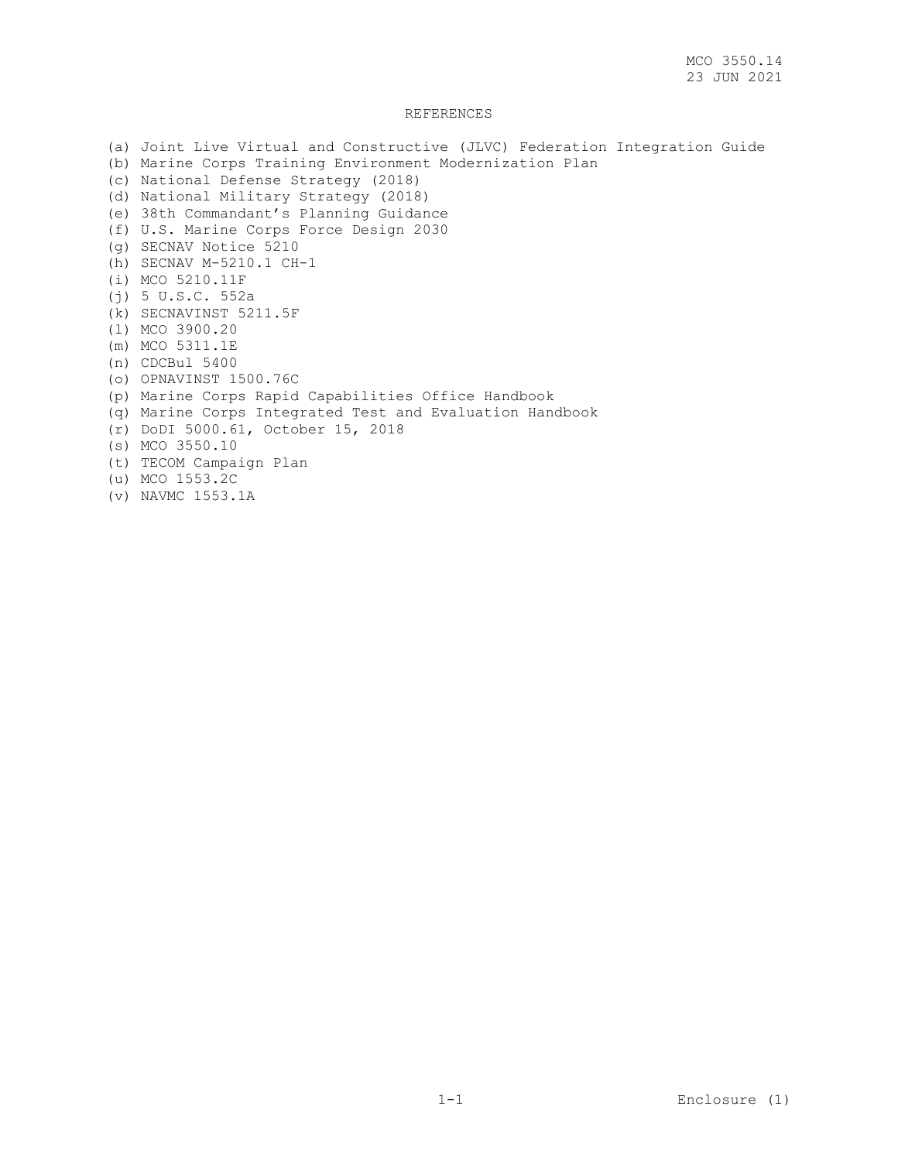## REFERENCES

(a) Joint Live Virtual and Constructive (JLVC) Federation Integration Guide (b) Marine Corps Training Environment Modernization Plan (c) National Defense Strategy (2018) (d) National Military Strategy (2018) (e) 38th Commandant's Planning Guidance (f) U.S. Marine Corps Force Design 2030 (g) SECNAV Notice 5210 (h) SECNAV M-5210.1 CH-1 (i) MCO 5210.11F (j) 5 U.S.C. 552a (k) SECNAVINST 5211.5F (l) MCO 3900.20 (m) MCO 5311.1E (n) CDCBul 5400 (o) OPNAVINST 1500.76C (p) Marine Corps Rapid Capabilities Office Handbook (q) Marine Corps Integrated Test and Evaluation Handbook (r) DoDI 5000.61, October 15, 2018 (s) MCO 3550.10 (t) TECOM Campaign Plan (u) MCO 1553.2C (v) NAVMC 1553.1A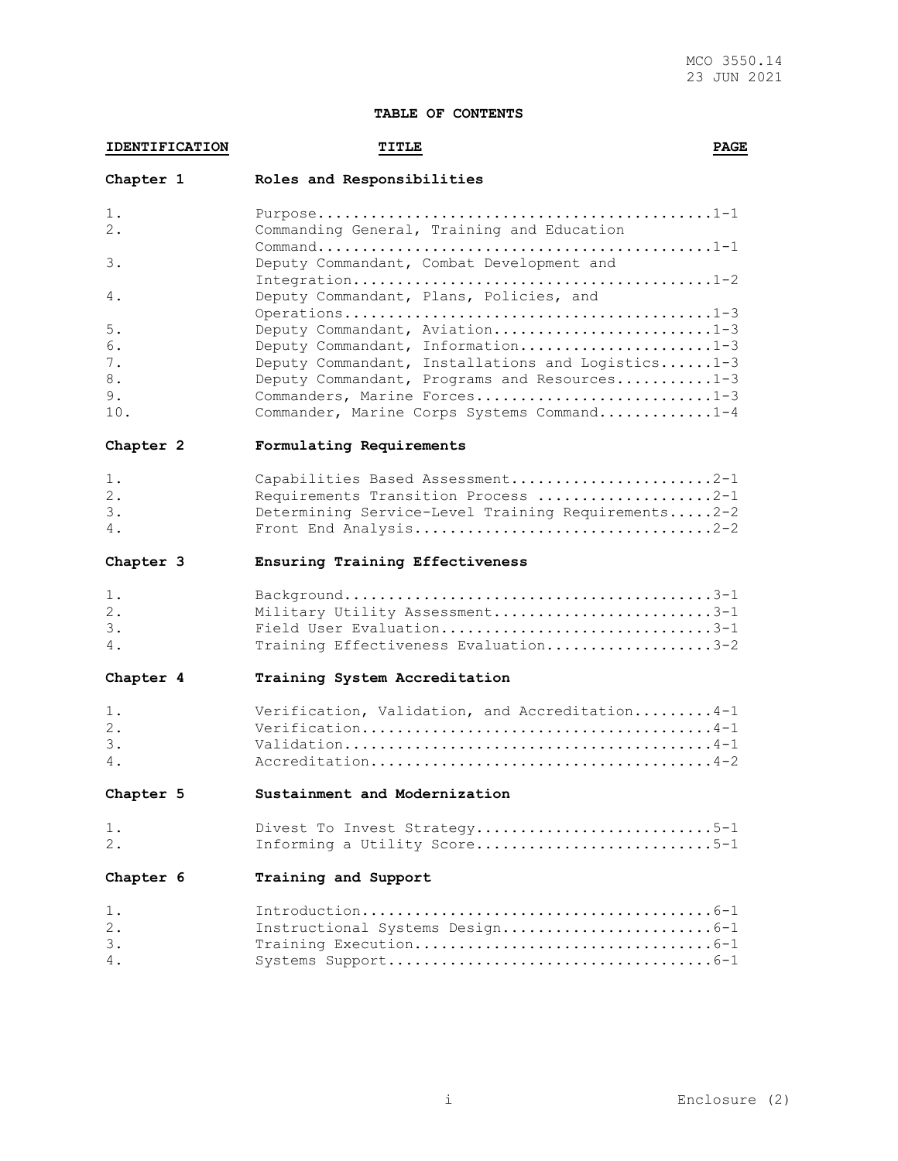# **TABLE OF CONTENTS**

| <b>IDENTIFICATION</b>             | <b>TITLE</b>                                                                                                                                                                                                                                           | <b>PAGE</b> |
|-----------------------------------|--------------------------------------------------------------------------------------------------------------------------------------------------------------------------------------------------------------------------------------------------------|-------------|
| Chapter 1                         | Roles and Responsibilities                                                                                                                                                                                                                             |             |
| 1.<br>2.                          | Commanding General, Training and Education                                                                                                                                                                                                             |             |
| 3.                                | Deputy Commandant, Combat Development and                                                                                                                                                                                                              |             |
| 4.                                | Deputy Commandant, Plans, Policies, and                                                                                                                                                                                                                |             |
| 5.<br>6.<br>7.<br>8.<br>9.<br>10. | Deputy Commandant, Aviation1-3<br>Deputy Commandant, Information1-3<br>Deputy Commandant, Installations and Logistics1-3<br>Deputy Commandant, Programs and Resources1-3<br>Commanders, Marine Forces1-3<br>Commander, Marine Corps Systems Command1-4 |             |
| Chapter 2                         | Formulating Requirements                                                                                                                                                                                                                               |             |
| 1.<br>2.<br>3.<br>4.              | Capabilities Based Assessment2-1<br>Requirements Transition Process 2-1<br>Determining Service-Level Training Requirements2-2<br>Front End Analysis2-2                                                                                                 |             |
| Chapter 3                         | Ensuring Training Effectiveness                                                                                                                                                                                                                        |             |
| $1$ .<br>$2$ .<br>3.<br>4.        | Military Utility Assessment3-1<br>Field User Evaluation3-1<br>Training Effectiveness Evaluation3-2                                                                                                                                                     |             |
| Chapter 4                         | Training System Accreditation                                                                                                                                                                                                                          |             |
| 1.<br>2.<br>3.<br>4.              | Verification, Validation, and Accreditation4-1                                                                                                                                                                                                         |             |
| Chapter 5                         | Sustainment and Modernization                                                                                                                                                                                                                          |             |
| 1.<br>2.                          | Divest To Invest Strategy5-1<br>Informing a Utility Score5-1                                                                                                                                                                                           |             |
| Chapter 6                         | Training and Support                                                                                                                                                                                                                                   |             |
| 1.<br>2.<br>3.<br>4.              | Instructional Systems Design6-1                                                                                                                                                                                                                        |             |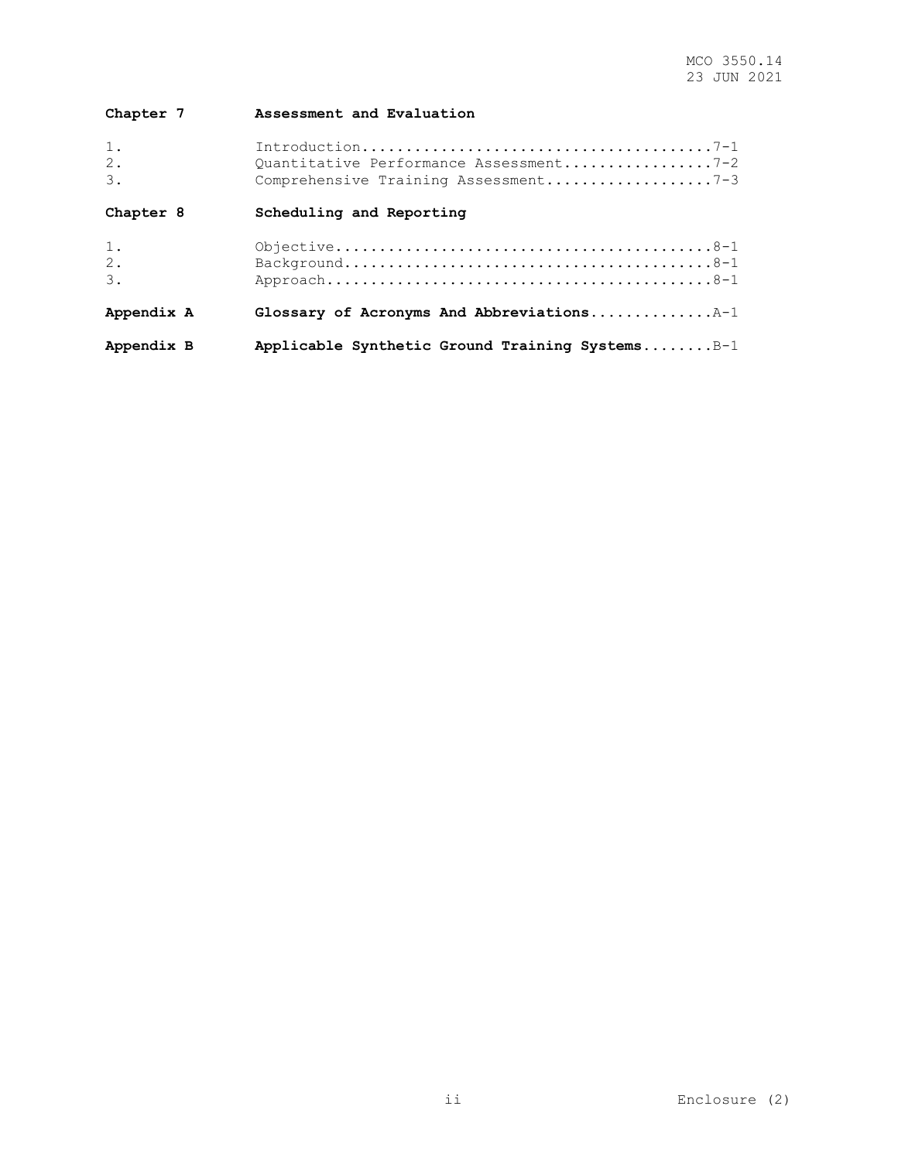| Chapter 7             | Assessment and Evaluation                                                      |
|-----------------------|--------------------------------------------------------------------------------|
| 1.<br>2.<br>$\beta$ . | Quantitative Performance Assessment7-2<br>Comprehensive Training Assessment7-3 |
| Chapter 8             | Scheduling and Reporting                                                       |
| 1.<br>2.<br>3.        |                                                                                |
| Appendix A            | Glossary of Acronyms And Abbreviations $A-1$                                   |
| Appendix B            | Applicable Synthetic Ground Training SystemsB-1                                |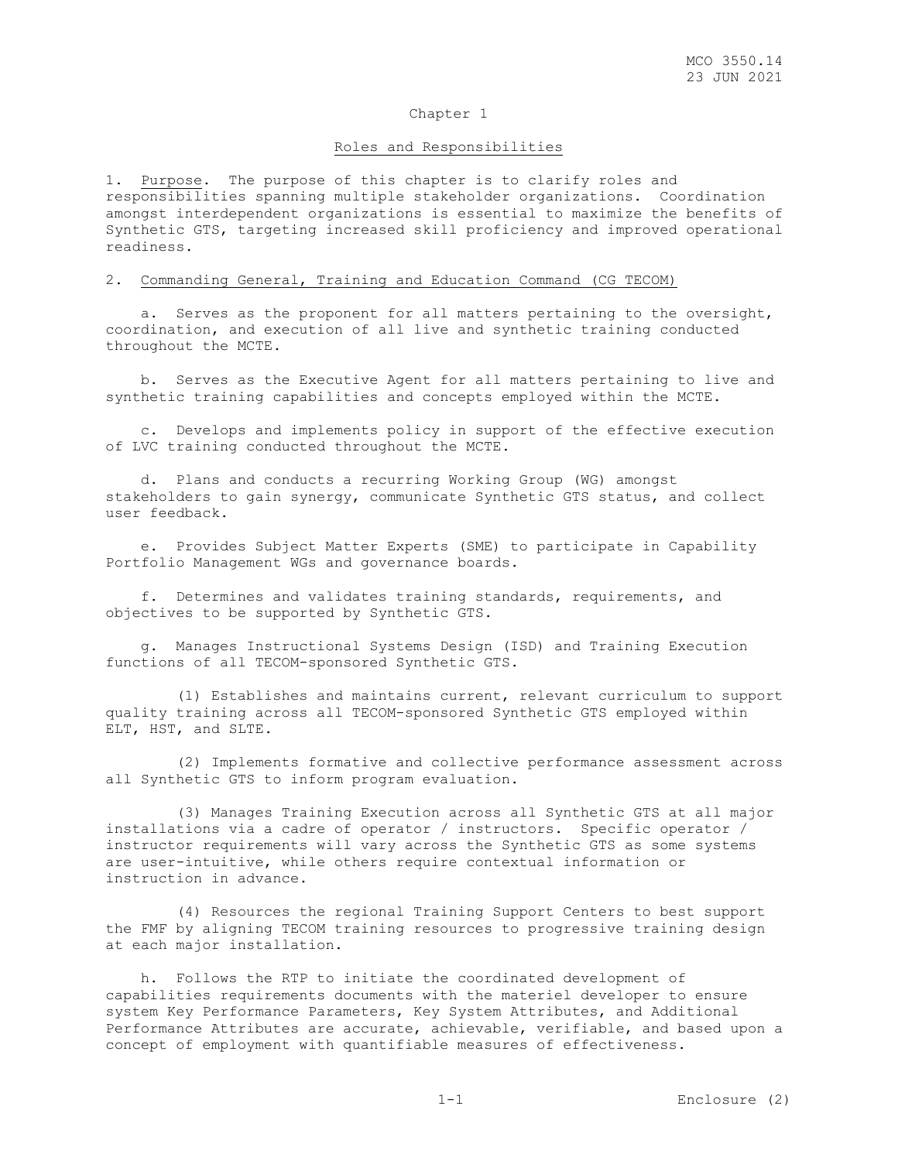#### Roles and Responsibilities

1. Purpose. The purpose of this chapter is to clarify roles and responsibilities spanning multiple stakeholder organizations. Coordination amongst interdependent organizations is essential to maximize the benefits of Synthetic GTS, targeting increased skill proficiency and improved operational readiness.

#### 2. Commanding General, Training and Education Command (CG TECOM)

 a. Serves as the proponent for all matters pertaining to the oversight, coordination, and execution of all live and synthetic training conducted throughout the MCTE.

 b. Serves as the Executive Agent for all matters pertaining to live and synthetic training capabilities and concepts employed within the MCTE.

 c. Develops and implements policy in support of the effective execution of LVC training conducted throughout the MCTE.

 d. Plans and conducts a recurring Working Group (WG) amongst stakeholders to gain synergy, communicate Synthetic GTS status, and collect user feedback.

 e. Provides Subject Matter Experts (SME) to participate in Capability Portfolio Management WGs and governance boards.

 f. Determines and validates training standards, requirements, and objectives to be supported by Synthetic GTS.

 g. Manages Instructional Systems Design (ISD) and Training Execution functions of all TECOM-sponsored Synthetic GTS.

 (1) Establishes and maintains current, relevant curriculum to support quality training across all TECOM-sponsored Synthetic GTS employed within ELT, HST, and SLTE.

 (2) Implements formative and collective performance assessment across all Synthetic GTS to inform program evaluation.

 (3) Manages Training Execution across all Synthetic GTS at all major installations via a cadre of operator / instructors. Specific operator / instructor requirements will vary across the Synthetic GTS as some systems are user-intuitive, while others require contextual information or instruction in advance.

 (4) Resources the regional Training Support Centers to best support the FMF by aligning TECOM training resources to progressive training design at each major installation.

 h. Follows the RTP to initiate the coordinated development of capabilities requirements documents with the materiel developer to ensure system Key Performance Parameters, Key System Attributes, and Additional Performance Attributes are accurate, achievable, verifiable, and based upon a concept of employment with quantifiable measures of effectiveness.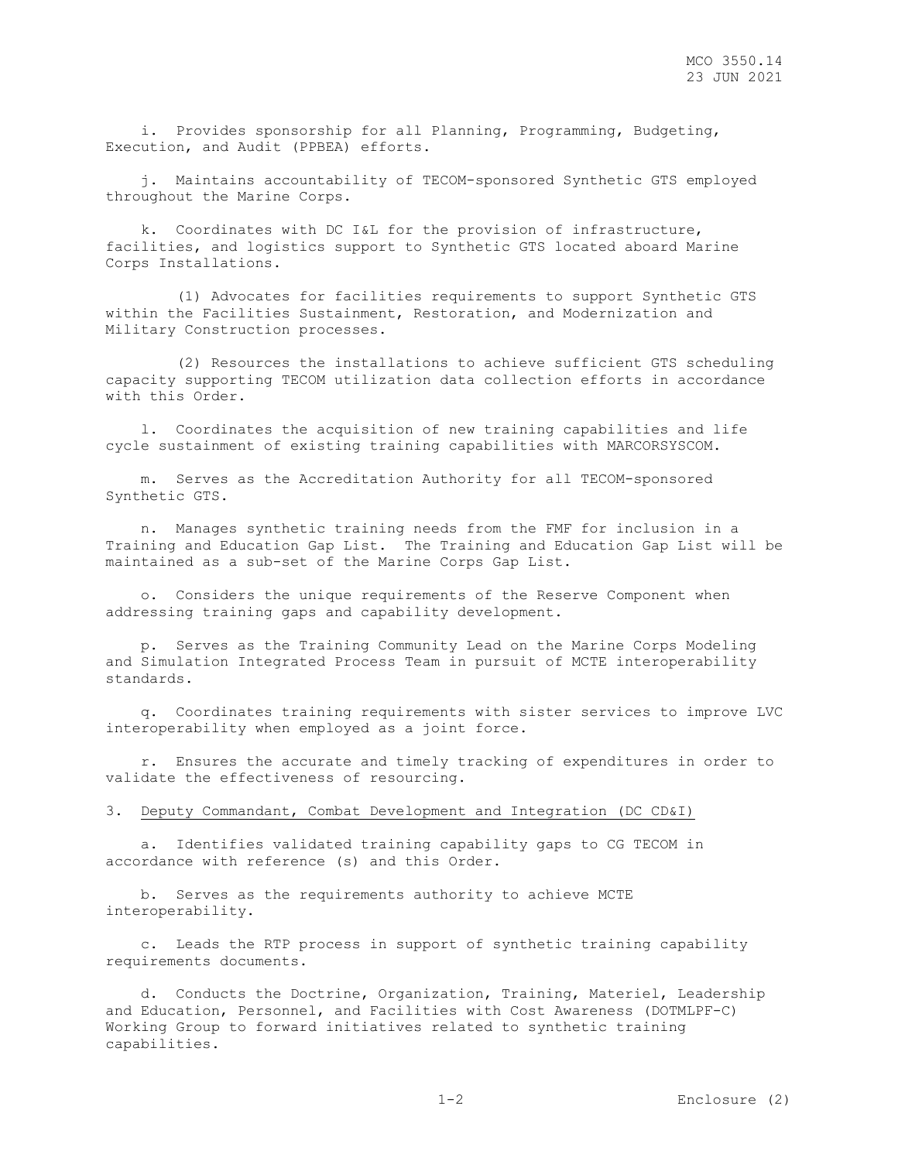i. Provides sponsorship for all Planning, Programming, Budgeting, Execution, and Audit (PPBEA) efforts.

 j. Maintains accountability of TECOM-sponsored Synthetic GTS employed throughout the Marine Corps.

 k. Coordinates with DC I&L for the provision of infrastructure, facilities, and logistics support to Synthetic GTS located aboard Marine Corps Installations.

 (1) Advocates for facilities requirements to support Synthetic GTS within the Facilities Sustainment, Restoration, and Modernization and Military Construction processes.

 (2) Resources the installations to achieve sufficient GTS scheduling capacity supporting TECOM utilization data collection efforts in accordance with this Order.

 l. Coordinates the acquisition of new training capabilities and life cycle sustainment of existing training capabilities with MARCORSYSCOM.

 m. Serves as the Accreditation Authority for all TECOM-sponsored Synthetic GTS.

 n. Manages synthetic training needs from the FMF for inclusion in a Training and Education Gap List. The Training and Education Gap List will be maintained as a sub-set of the Marine Corps Gap List.

 o. Considers the unique requirements of the Reserve Component when addressing training gaps and capability development.

 p. Serves as the Training Community Lead on the Marine Corps Modeling and Simulation Integrated Process Team in pursuit of MCTE interoperability standards.

 q. Coordinates training requirements with sister services to improve LVC interoperability when employed as a joint force.

 r. Ensures the accurate and timely tracking of expenditures in order to validate the effectiveness of resourcing.

3. Deputy Commandant, Combat Development and Integration (DC CD&I)

 a. Identifies validated training capability gaps to CG TECOM in accordance with reference (s) and this Order.

 b. Serves as the requirements authority to achieve MCTE interoperability.

 c. Leads the RTP process in support of synthetic training capability requirements documents.

 d. Conducts the Doctrine, Organization, Training, Materiel, Leadership and Education, Personnel, and Facilities with Cost Awareness (DOTMLPF-C) Working Group to forward initiatives related to synthetic training capabilities.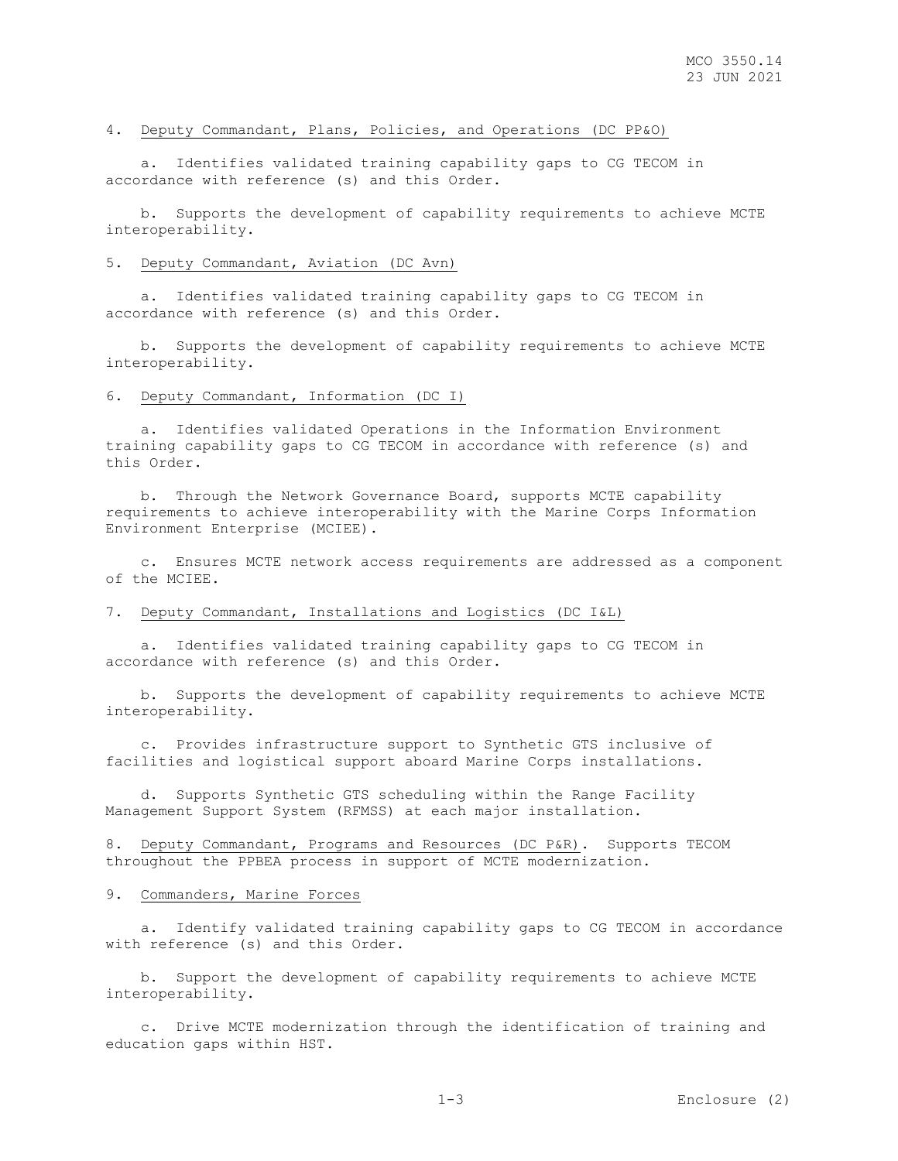# 4. Deputy Commandant, Plans, Policies, and Operations (DC PP&O)

 a. Identifies validated training capability gaps to CG TECOM in accordance with reference (s) and this Order.

 b. Supports the development of capability requirements to achieve MCTE interoperability.

#### 5. Deputy Commandant, Aviation (DC Avn)

 a. Identifies validated training capability gaps to CG TECOM in accordance with reference (s) and this Order.

 b. Supports the development of capability requirements to achieve MCTE interoperability.

### 6. Deputy Commandant, Information (DC I)

 a. Identifies validated Operations in the Information Environment training capability gaps to CG TECOM in accordance with reference (s) and this Order.

 b. Through the Network Governance Board, supports MCTE capability requirements to achieve interoperability with the Marine Corps Information Environment Enterprise (MCIEE).

 c. Ensures MCTE network access requirements are addressed as a component of the MCIEE.

#### 7. Deputy Commandant, Installations and Logistics (DC I&L)

 a. Identifies validated training capability gaps to CG TECOM in accordance with reference (s) and this Order.

 b. Supports the development of capability requirements to achieve MCTE interoperability.

 c. Provides infrastructure support to Synthetic GTS inclusive of facilities and logistical support aboard Marine Corps installations.

 d. Supports Synthetic GTS scheduling within the Range Facility Management Support System (RFMSS) at each major installation.

8. Deputy Commandant, Programs and Resources (DC P&R). Supports TECOM throughout the PPBEA process in support of MCTE modernization.

#### 9. Commanders, Marine Forces

 a. Identify validated training capability gaps to CG TECOM in accordance with reference (s) and this Order.

 b. Support the development of capability requirements to achieve MCTE interoperability.

 c. Drive MCTE modernization through the identification of training and education gaps within HST.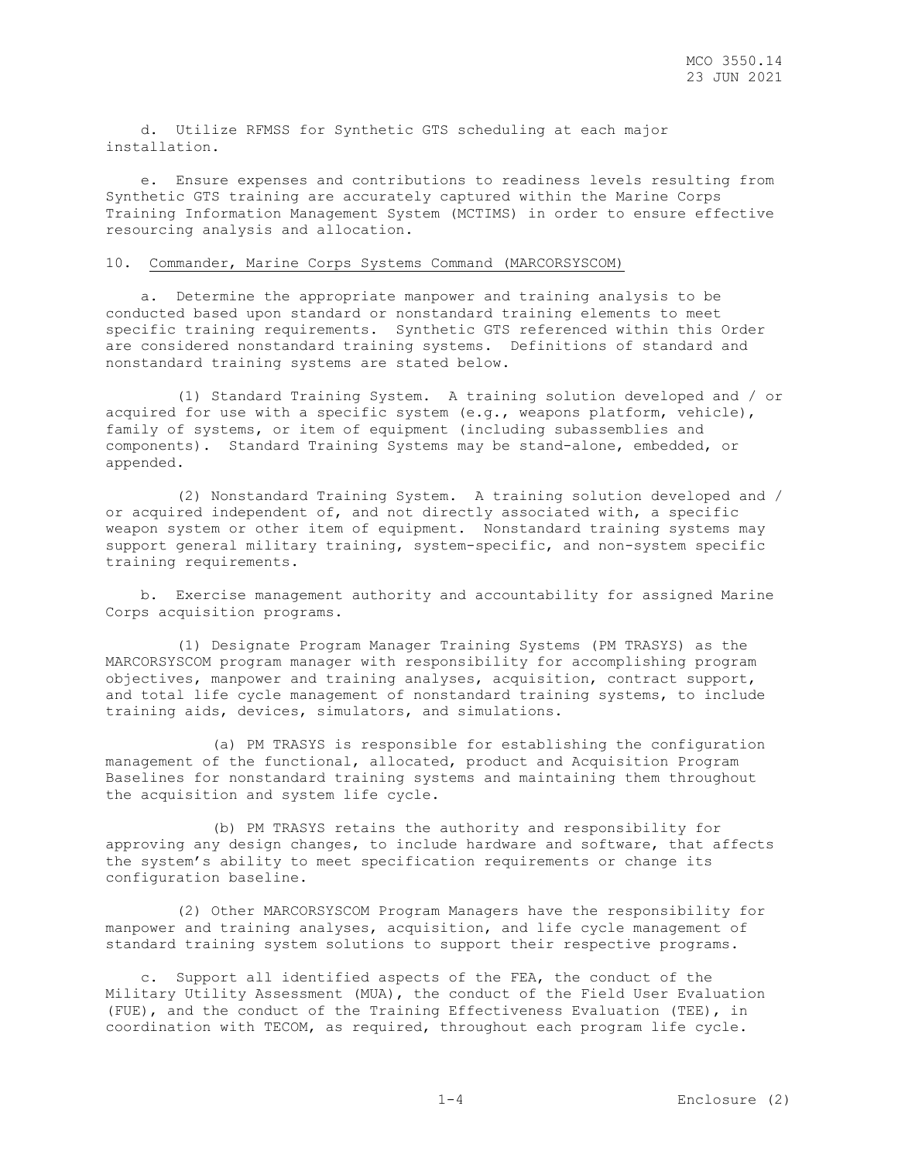d. Utilize RFMSS for Synthetic GTS scheduling at each major installation.

 e. Ensure expenses and contributions to readiness levels resulting from Synthetic GTS training are accurately captured within the Marine Corps Training Information Management System (MCTIMS) in order to ensure effective resourcing analysis and allocation.

# 10. Commander, Marine Corps Systems Command (MARCORSYSCOM)

 a. Determine the appropriate manpower and training analysis to be conducted based upon standard or nonstandard training elements to meet specific training requirements. Synthetic GTS referenced within this Order are considered nonstandard training systems. Definitions of standard and nonstandard training systems are stated below.

 (1) Standard Training System. A training solution developed and / or acquired for use with a specific system (e.g., weapons platform, vehicle), family of systems, or item of equipment (including subassemblies and components). Standard Training Systems may be stand-alone, embedded, or appended.

 (2) Nonstandard Training System. A training solution developed and / or acquired independent of, and not directly associated with, a specific weapon system or other item of equipment. Nonstandard training systems may support general military training, system-specific, and non-system specific training requirements.

 b. Exercise management authority and accountability for assigned Marine Corps acquisition programs.

 (1) Designate Program Manager Training Systems (PM TRASYS) as the MARCORSYSCOM program manager with responsibility for accomplishing program objectives, manpower and training analyses, acquisition, contract support, and total life cycle management of nonstandard training systems, to include training aids, devices, simulators, and simulations.

 (a) PM TRASYS is responsible for establishing the configuration management of the functional, allocated, product and Acquisition Program Baselines for nonstandard training systems and maintaining them throughout the acquisition and system life cycle.

 (b) PM TRASYS retains the authority and responsibility for approving any design changes, to include hardware and software, that affects the system's ability to meet specification requirements or change its configuration baseline.

 (2) Other MARCORSYSCOM Program Managers have the responsibility for manpower and training analyses, acquisition, and life cycle management of standard training system solutions to support their respective programs.

 c. Support all identified aspects of the FEA, the conduct of the Military Utility Assessment (MUA), the conduct of the Field User Evaluation (FUE), and the conduct of the Training Effectiveness Evaluation (TEE), in coordination with TECOM, as required, throughout each program life cycle.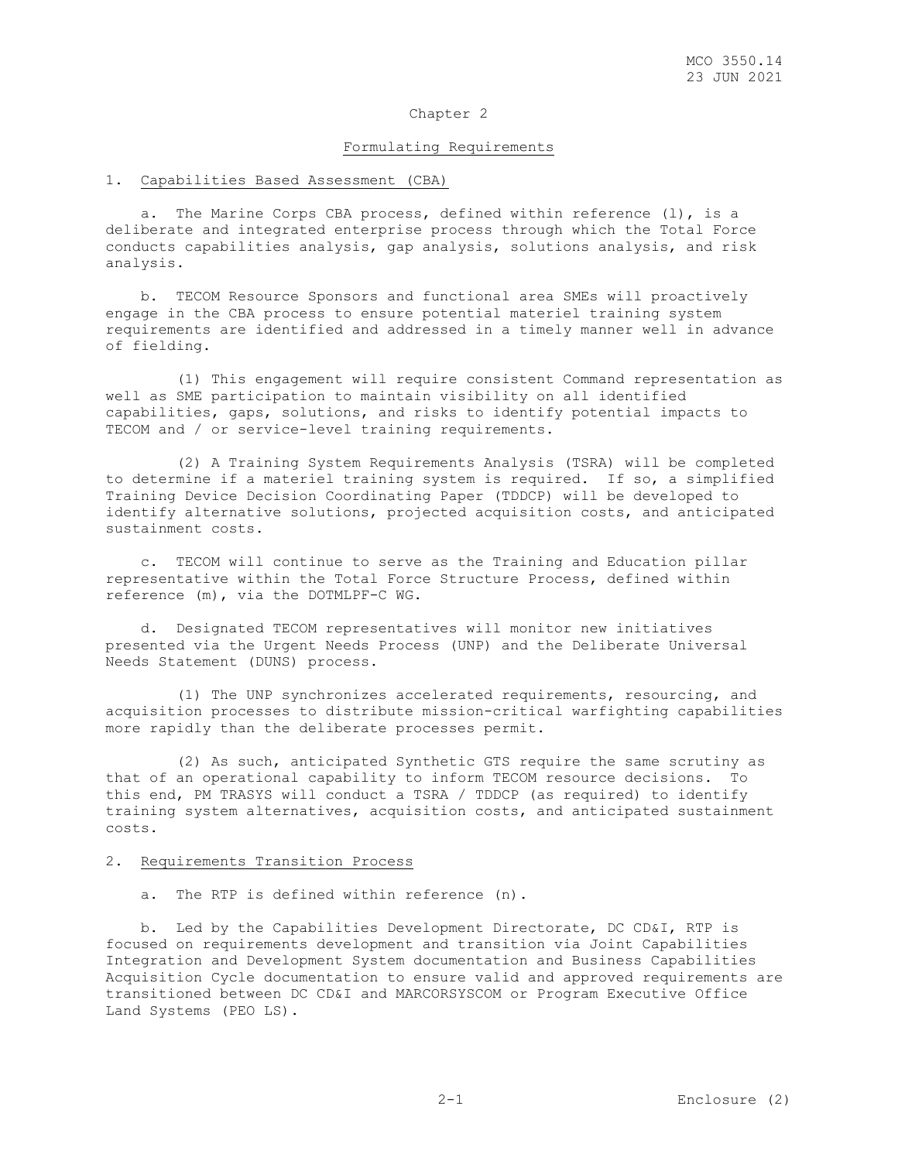#### Formulating Requirements

# 1. Capabilities Based Assessment (CBA)

 a. The Marine Corps CBA process, defined within reference (l), is a deliberate and integrated enterprise process through which the Total Force conducts capabilities analysis, gap analysis, solutions analysis, and risk analysis.

 b. TECOM Resource Sponsors and functional area SMEs will proactively engage in the CBA process to ensure potential materiel training system requirements are identified and addressed in a timely manner well in advance of fielding.

 (1) This engagement will require consistent Command representation as well as SME participation to maintain visibility on all identified capabilities, gaps, solutions, and risks to identify potential impacts to TECOM and / or service-level training requirements.

 (2) A Training System Requirements Analysis (TSRA) will be completed to determine if a materiel training system is required. If so, a simplified Training Device Decision Coordinating Paper (TDDCP) will be developed to identify alternative solutions, projected acquisition costs, and anticipated sustainment costs.

 c. TECOM will continue to serve as the Training and Education pillar representative within the Total Force Structure Process, defined within reference (m), via the DOTMLPF-C WG.

 d. Designated TECOM representatives will monitor new initiatives presented via the Urgent Needs Process (UNP) and the Deliberate Universal Needs Statement (DUNS) process.

 (1) The UNP synchronizes accelerated requirements, resourcing, and acquisition processes to distribute mission-critical warfighting capabilities more rapidly than the deliberate processes permit.

 (2) As such, anticipated Synthetic GTS require the same scrutiny as that of an operational capability to inform TECOM resource decisions. To this end, PM TRASYS will conduct a TSRA / TDDCP (as required) to identify training system alternatives, acquisition costs, and anticipated sustainment costs.

#### 2. Requirements Transition Process

a. The RTP is defined within reference (n).

 b. Led by the Capabilities Development Directorate, DC CD&I, RTP is focused on requirements development and transition via Joint Capabilities Integration and Development System documentation and Business Capabilities Acquisition Cycle documentation to ensure valid and approved requirements are transitioned between DC CD&I and MARCORSYSCOM or Program Executive Office Land Systems (PEO LS).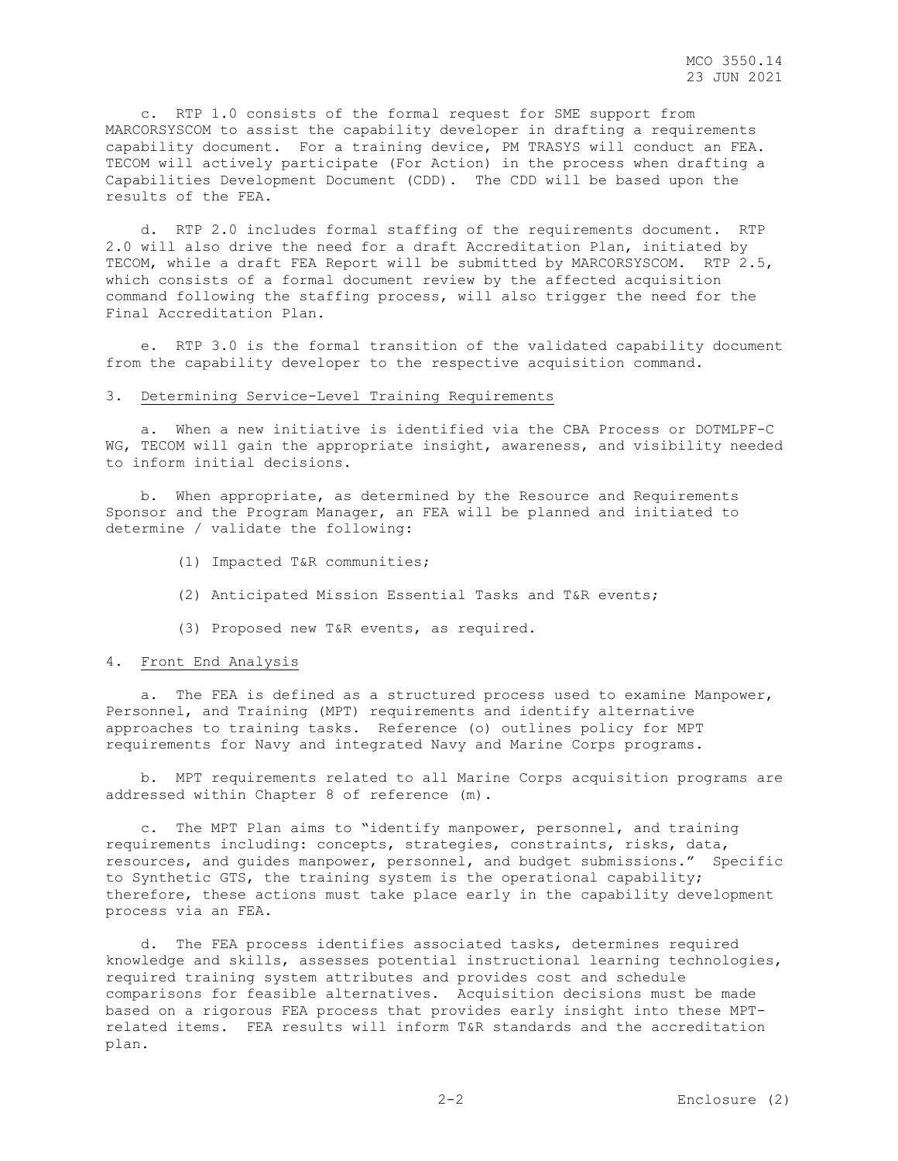c. RTP 1.0 consists of the formal request for SME support from MARCORSYSCOM to assist the capability developer in drafting a requirements capability document. For a training device, PM TRASYS will conduct an FEA. TECOM will actively participate (For Action) in the process when drafting a Capabilities Development Document (CDD). The CDD will be based upon the results of the FEA.

 d. RTP 2.0 includes formal staffing of the requirements document. RTP 2.0 will also drive the need for a draft Accreditation Plan, initiated by TECOM, while a draft FEA Report will be submitted by MARCORSYSCOM. RTP 2.5, which consists of a formal document review by the affected acquisition command following the staffing process, will also trigger the need for the Final Accreditation Plan.

 e. RTP 3.0 is the formal transition of the validated capability document from the capability developer to the respective acquisition command.

## 3. Determining Service-Level Training Requirements

 a. When a new initiative is identified via the CBA Process or DOTMLPF-C WG, TECOM will gain the appropriate insight, awareness, and visibility needed to inform initial decisions.

 b. When appropriate, as determined by the Resource and Requirements Sponsor and the Program Manager, an FEA will be planned and initiated to determine / validate the following:

- (1) Impacted T&R communities;
- (2) Anticipated Mission Essential Tasks and T&R events;
- (3) Proposed new T&R events, as required.

#### 4. Front End Analysis

 a. The FEA is defined as a structured process used to examine Manpower, Personnel, and Training (MPT) requirements and identify alternative approaches to training tasks. Reference (o) outlines policy for MPT requirements for Navy and integrated Navy and Marine Corps programs.

 b. MPT requirements related to all Marine Corps acquisition programs are addressed within Chapter 8 of reference (m).

 c. The MPT Plan aims to "identify manpower, personnel, and training requirements including: concepts, strategies, constraints, risks, data, resources, and guides manpower, personnel, and budget submissions." Specific to Synthetic GTS, the training system is the operational capability; therefore, these actions must take place early in the capability development process via an FEA.

 d. The FEA process identifies associated tasks, determines required knowledge and skills, assesses potential instructional learning technologies, required training system attributes and provides cost and schedule comparisons for feasible alternatives. Acquisition decisions must be made based on a rigorous FEA process that provides early insight into these MPTrelated items. FEA results will inform T&R standards and the accreditation plan.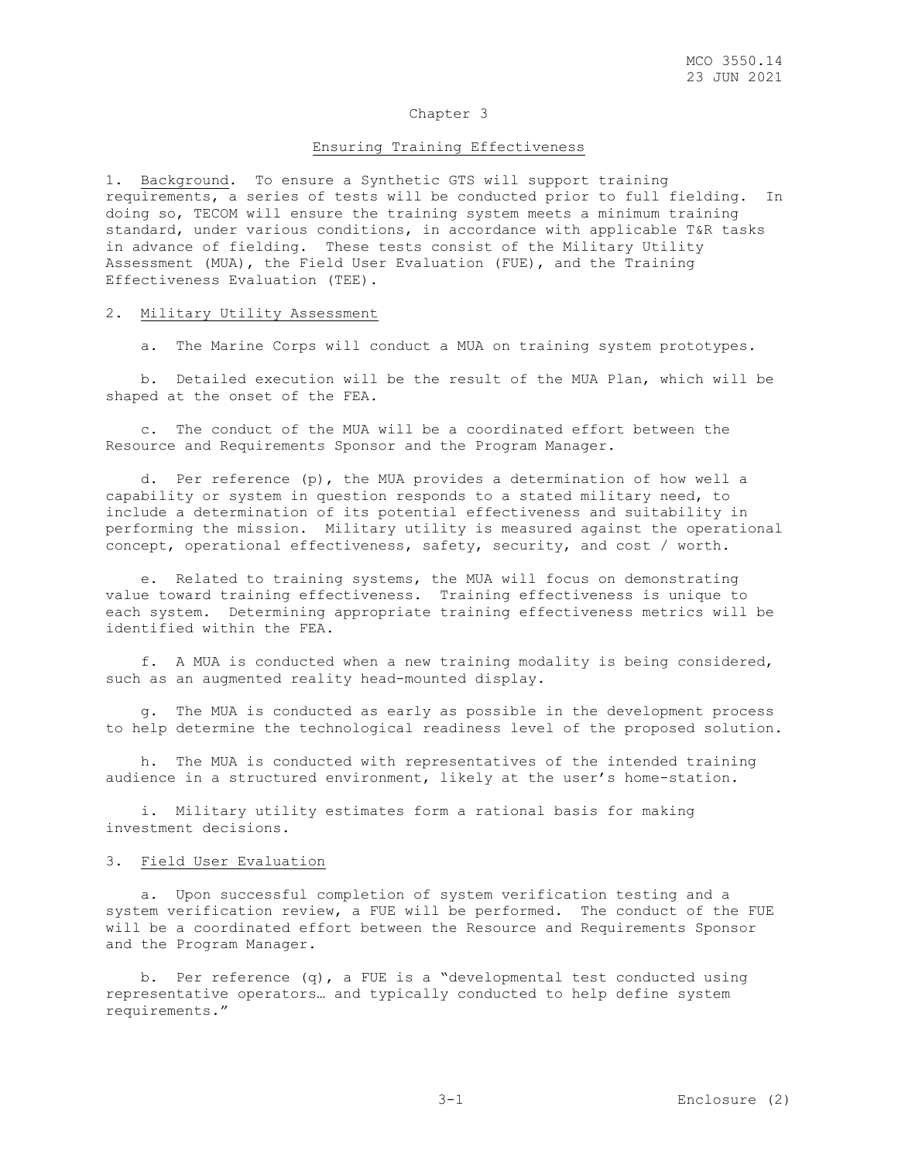#### Ensuring Training Effectiveness

1. Background. To ensure a Synthetic GTS will support training requirements, a series of tests will be conducted prior to full fielding. In doing so, TECOM will ensure the training system meets a minimum training standard, under various conditions, in accordance with applicable T&R tasks in advance of fielding. These tests consist of the Military Utility Assessment (MUA), the Field User Evaluation (FUE), and the Training Effectiveness Evaluation (TEE).

#### 2. Military Utility Assessment

a. The Marine Corps will conduct a MUA on training system prototypes.

 b. Detailed execution will be the result of the MUA Plan, which will be shaped at the onset of the FEA.

 c. The conduct of the MUA will be a coordinated effort between the Resource and Requirements Sponsor and the Program Manager.

 d. Per reference (p), the MUA provides a determination of how well a capability or system in question responds to a stated military need, to include a determination of its potential effectiveness and suitability in performing the mission. Military utility is measured against the operational concept, operational effectiveness, safety, security, and cost / worth.

 e. Related to training systems, the MUA will focus on demonstrating value toward training effectiveness. Training effectiveness is unique to each system. Determining appropriate training effectiveness metrics will be identified within the FEA.

 f. A MUA is conducted when a new training modality is being considered, such as an augmented reality head-mounted display.

 g. The MUA is conducted as early as possible in the development process to help determine the technological readiness level of the proposed solution.

 h. The MUA is conducted with representatives of the intended training audience in a structured environment, likely at the user's home-station.

 i. Military utility estimates form a rational basis for making investment decisions.

#### 3. Field User Evaluation

 a. Upon successful completion of system verification testing and a system verification review, a FUE will be performed. The conduct of the FUE will be a coordinated effort between the Resource and Requirements Sponsor and the Program Manager.

 b. Per reference (q), a FUE is a "developmental test conducted using representative operators… and typically conducted to help define system requirements."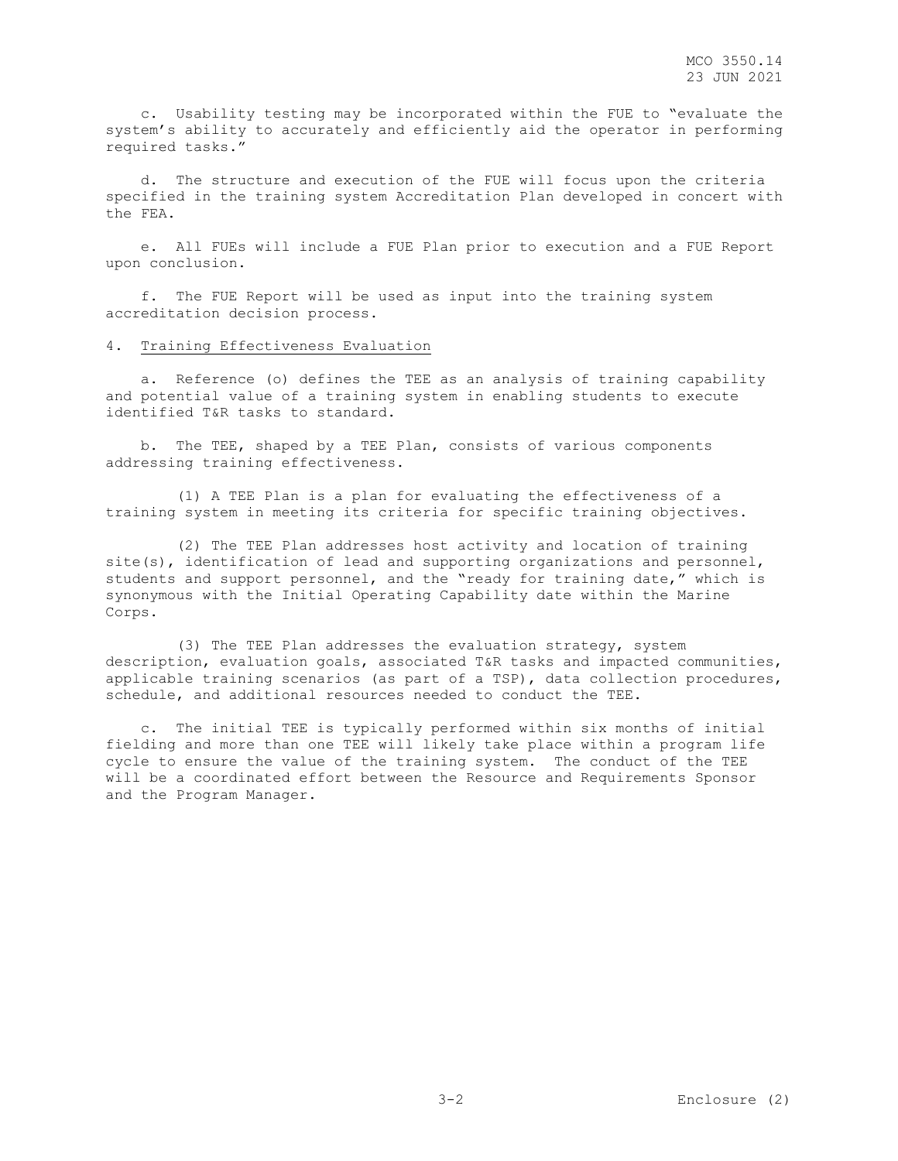c. Usability testing may be incorporated within the FUE to "evaluate the system's ability to accurately and efficiently aid the operator in performing required tasks."

 d. The structure and execution of the FUE will focus upon the criteria specified in the training system Accreditation Plan developed in concert with the FEA.

 e. All FUEs will include a FUE Plan prior to execution and a FUE Report upon conclusion.

 f. The FUE Report will be used as input into the training system accreditation decision process.

#### 4. Training Effectiveness Evaluation

 a. Reference (o) defines the TEE as an analysis of training capability and potential value of a training system in enabling students to execute identified T&R tasks to standard.

 b. The TEE, shaped by a TEE Plan, consists of various components addressing training effectiveness.

 (1) A TEE Plan is a plan for evaluating the effectiveness of a training system in meeting its criteria for specific training objectives.

 (2) The TEE Plan addresses host activity and location of training site(s), identification of lead and supporting organizations and personnel, students and support personnel, and the "ready for training date," which is synonymous with the Initial Operating Capability date within the Marine Corps.

 (3) The TEE Plan addresses the evaluation strategy, system description, evaluation goals, associated T&R tasks and impacted communities, applicable training scenarios (as part of a TSP), data collection procedures, schedule, and additional resources needed to conduct the TEE.

 c. The initial TEE is typically performed within six months of initial fielding and more than one TEE will likely take place within a program life cycle to ensure the value of the training system. The conduct of the TEE will be a coordinated effort between the Resource and Requirements Sponsor and the Program Manager.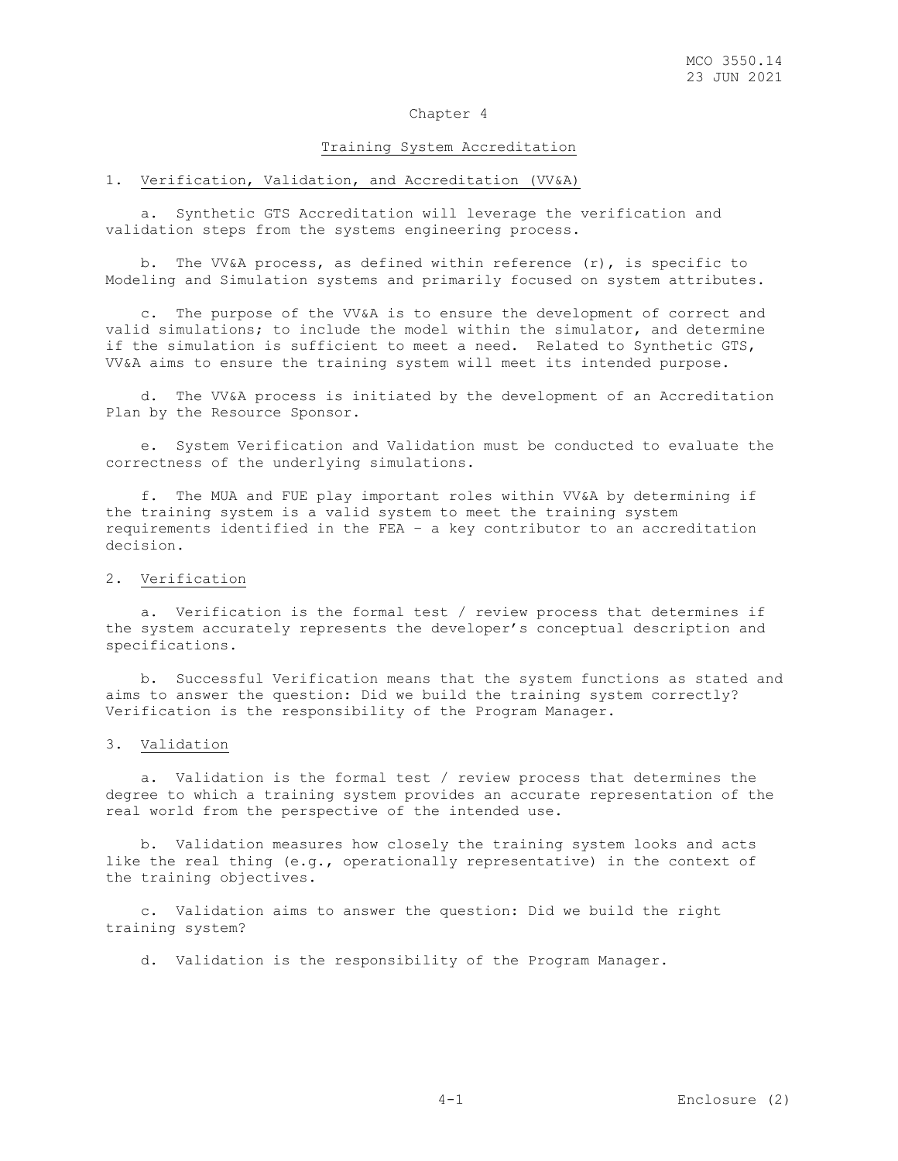#### Training System Accreditation

# 1. Verification, Validation, and Accreditation (VV&A)

 a. Synthetic GTS Accreditation will leverage the verification and validation steps from the systems engineering process.

b. The VV&A process, as defined within reference  $(r)$ , is specific to Modeling and Simulation systems and primarily focused on system attributes.

 c. The purpose of the VV&A is to ensure the development of correct and valid simulations; to include the model within the simulator, and determine if the simulation is sufficient to meet a need. Related to Synthetic GTS, VV&A aims to ensure the training system will meet its intended purpose.

 d. The VV&A process is initiated by the development of an Accreditation Plan by the Resource Sponsor.

 e. System Verification and Validation must be conducted to evaluate the correctness of the underlying simulations.

 f. The MUA and FUE play important roles within VV&A by determining if the training system is a valid system to meet the training system requirements identified in the FEA – a key contributor to an accreditation decision.

# 2. Verification

 a. Verification is the formal test / review process that determines if the system accurately represents the developer's conceptual description and specifications.

 b. Successful Verification means that the system functions as stated and aims to answer the question: Did we build the training system correctly? Verification is the responsibility of the Program Manager.

## 3. Validation

 a. Validation is the formal test / review process that determines the degree to which a training system provides an accurate representation of the real world from the perspective of the intended use.

 b. Validation measures how closely the training system looks and acts like the real thing (e.g., operationally representative) in the context of the training objectives.

 c. Validation aims to answer the question: Did we build the right training system?

d. Validation is the responsibility of the Program Manager.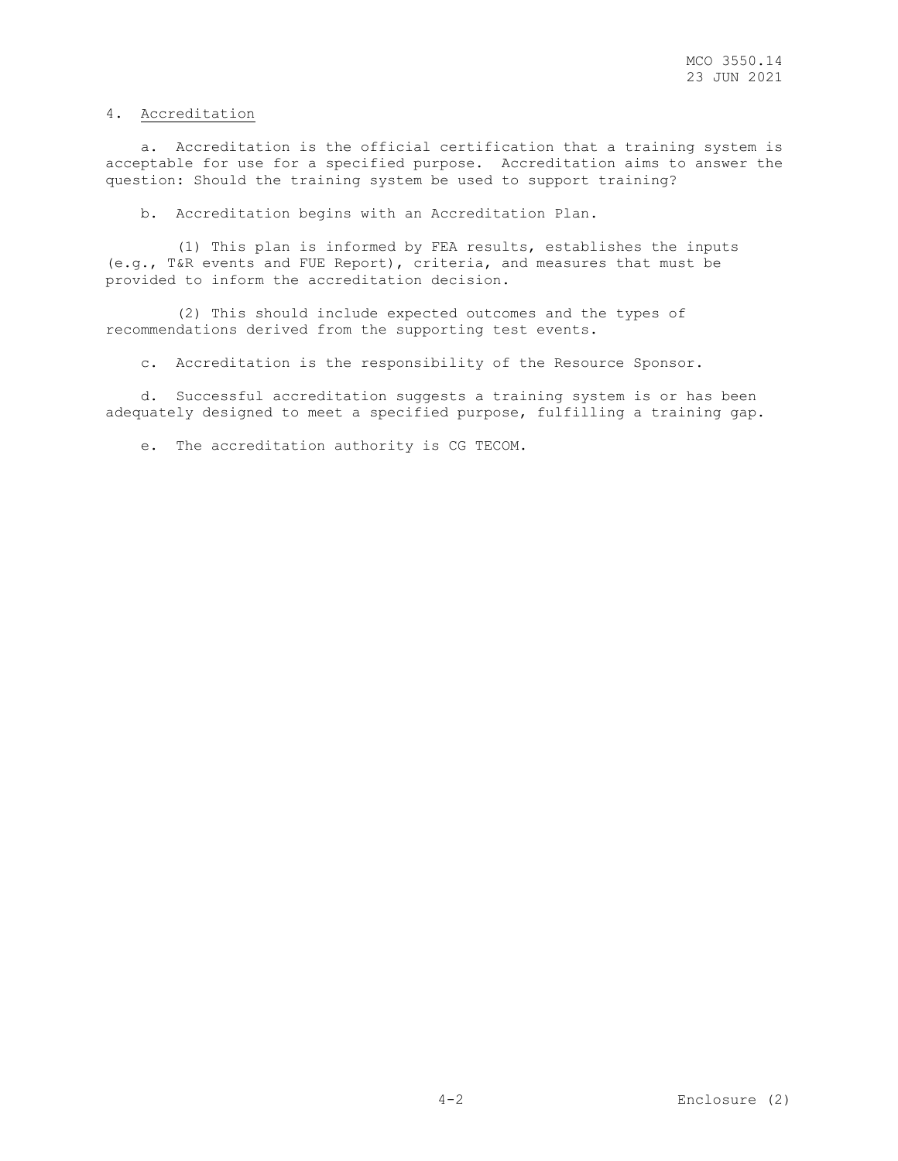# 4. Accreditation

 a. Accreditation is the official certification that a training system is acceptable for use for a specified purpose. Accreditation aims to answer the question: Should the training system be used to support training?

b. Accreditation begins with an Accreditation Plan.

 (1) This plan is informed by FEA results, establishes the inputs (e.g., T&R events and FUE Report), criteria, and measures that must be provided to inform the accreditation decision.

 (2) This should include expected outcomes and the types of recommendations derived from the supporting test events.

c. Accreditation is the responsibility of the Resource Sponsor.

 d. Successful accreditation suggests a training system is or has been adequately designed to meet a specified purpose, fulfilling a training gap.

e. The accreditation authority is CG TECOM.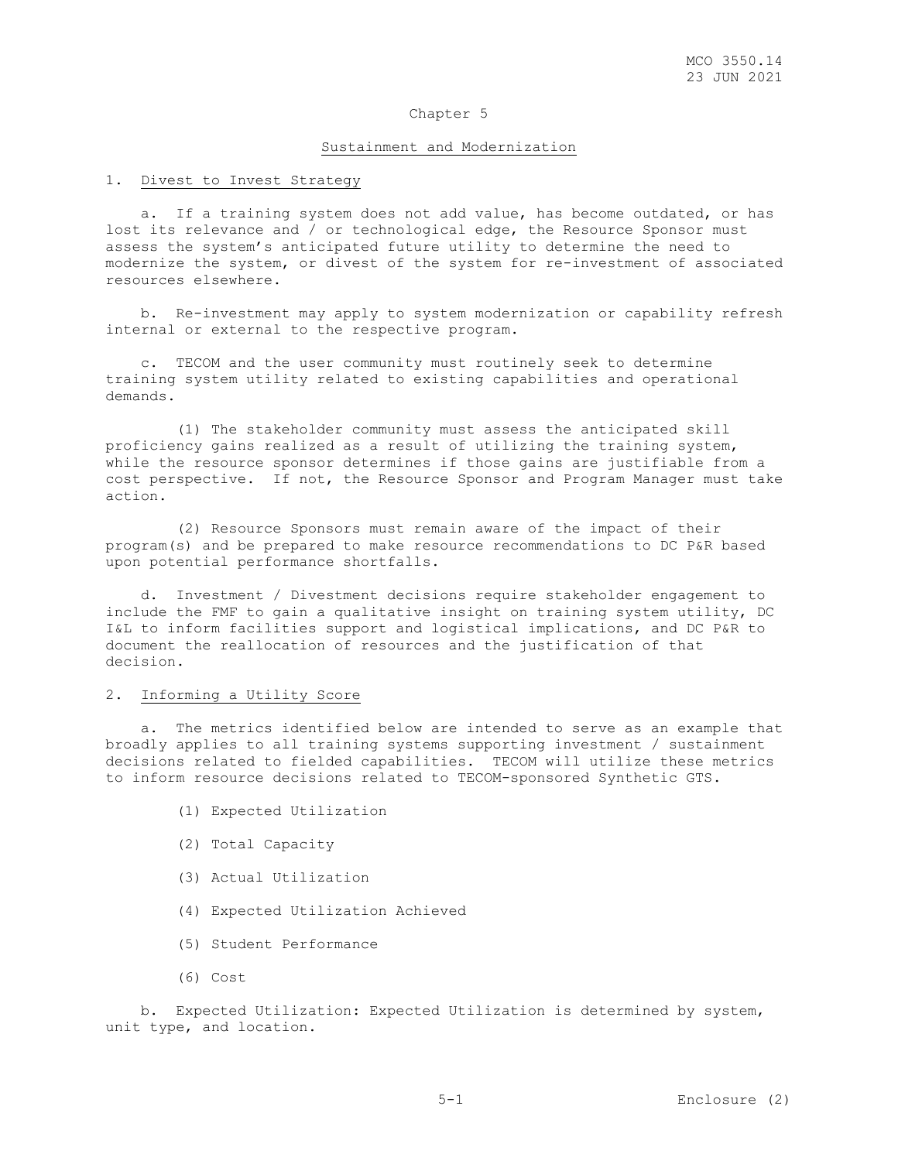#### Sustainment and Modernization

## 1. Divest to Invest Strategy

 a. If a training system does not add value, has become outdated, or has lost its relevance and / or technological edge, the Resource Sponsor must assess the system's anticipated future utility to determine the need to modernize the system, or divest of the system for re-investment of associated resources elsewhere.

 b. Re-investment may apply to system modernization or capability refresh internal or external to the respective program.

 c. TECOM and the user community must routinely seek to determine training system utility related to existing capabilities and operational demands.

 (1) The stakeholder community must assess the anticipated skill proficiency gains realized as a result of utilizing the training system, while the resource sponsor determines if those gains are justifiable from a cost perspective. If not, the Resource Sponsor and Program Manager must take action.

 (2) Resource Sponsors must remain aware of the impact of their program(s) and be prepared to make resource recommendations to DC P&R based upon potential performance shortfalls.

 d. Investment / Divestment decisions require stakeholder engagement to include the FMF to gain a qualitative insight on training system utility, DC I&L to inform facilities support and logistical implications, and DC P&R to document the reallocation of resources and the justification of that decision.

# 2. Informing a Utility Score

 a. The metrics identified below are intended to serve as an example that broadly applies to all training systems supporting investment / sustainment decisions related to fielded capabilities. TECOM will utilize these metrics to inform resource decisions related to TECOM-sponsored Synthetic GTS.

- (1) Expected Utilization
- (2) Total Capacity
- (3) Actual Utilization
- (4) Expected Utilization Achieved
- (5) Student Performance
- (6) Cost

 b. Expected Utilization: Expected Utilization is determined by system, unit type, and location.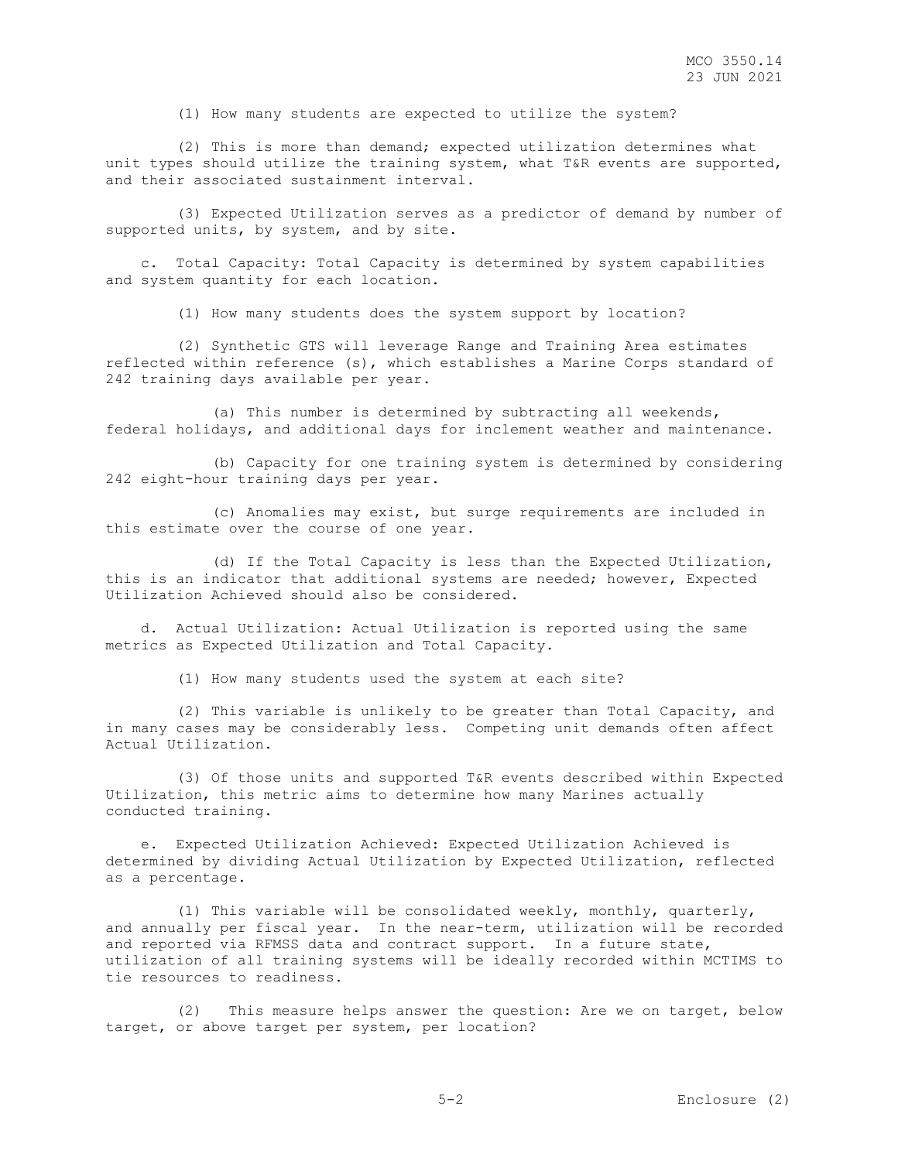(1) How many students are expected to utilize the system?

 (2) This is more than demand; expected utilization determines what unit types should utilize the training system, what T&R events are supported, and their associated sustainment interval.

 (3) Expected Utilization serves as a predictor of demand by number of supported units, by system, and by site.

 c. Total Capacity: Total Capacity is determined by system capabilities and system quantity for each location.

(1) How many students does the system support by location?

 (2) Synthetic GTS will leverage Range and Training Area estimates reflected within reference (s), which establishes a Marine Corps standard of 242 training days available per year.

 (a) This number is determined by subtracting all weekends, federal holidays, and additional days for inclement weather and maintenance.

 (b) Capacity for one training system is determined by considering 242 eight-hour training days per year.

 (c) Anomalies may exist, but surge requirements are included in this estimate over the course of one year.

 (d) If the Total Capacity is less than the Expected Utilization, this is an indicator that additional systems are needed; however, Expected Utilization Achieved should also be considered.

 d. Actual Utilization: Actual Utilization is reported using the same metrics as Expected Utilization and Total Capacity.

(1) How many students used the system at each site?

 (2) This variable is unlikely to be greater than Total Capacity, and in many cases may be considerably less. Competing unit demands often affect Actual Utilization.

 (3) Of those units and supported T&R events described within Expected Utilization, this metric aims to determine how many Marines actually conducted training.

 e. Expected Utilization Achieved: Expected Utilization Achieved is determined by dividing Actual Utilization by Expected Utilization, reflected as a percentage.

 (1) This variable will be consolidated weekly, monthly, quarterly, and annually per fiscal year. In the near-term, utilization will be recorded and reported via RFMSS data and contract support. In a future state, utilization of all training systems will be ideally recorded within MCTIMS to tie resources to readiness.

 (2) This measure helps answer the question: Are we on target, below target, or above target per system, per location?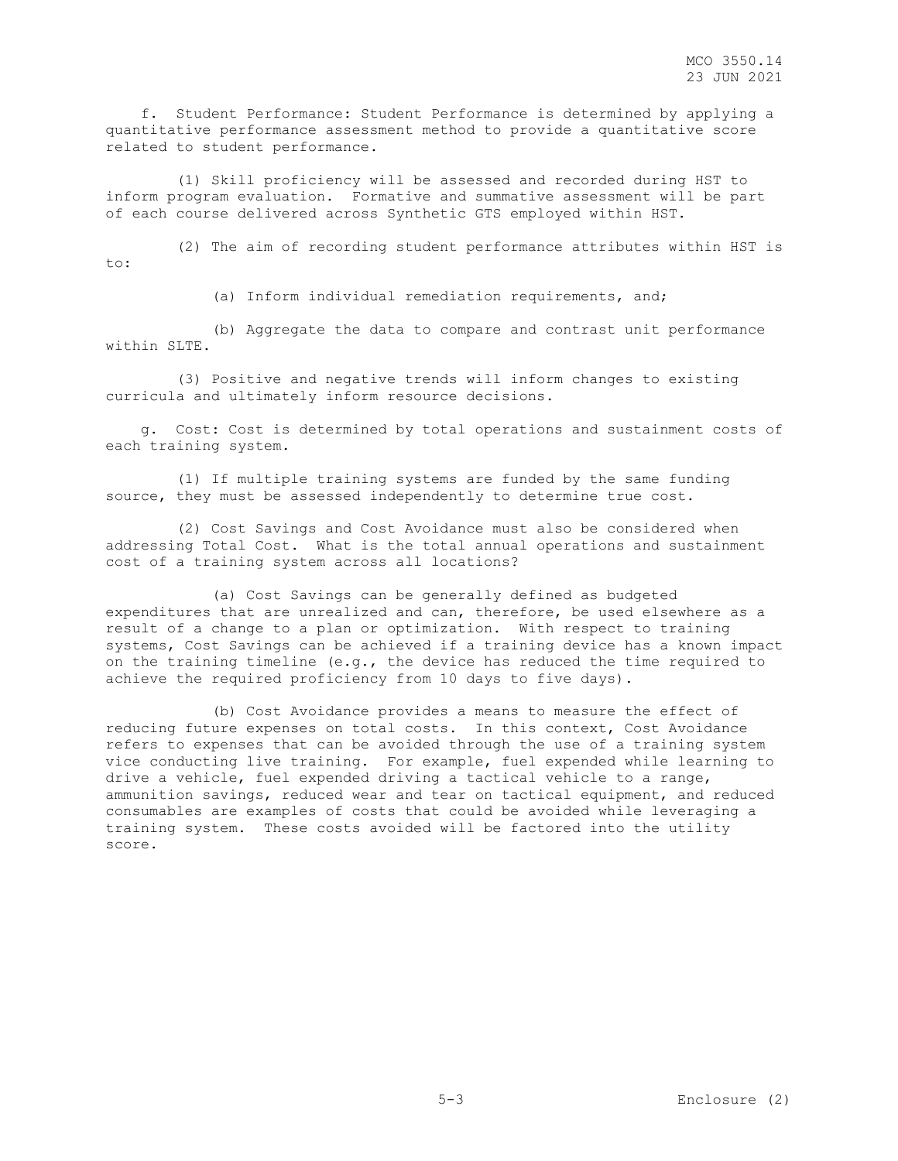f. Student Performance: Student Performance is determined by applying a quantitative performance assessment method to provide a quantitative score related to student performance.

 (1) Skill proficiency will be assessed and recorded during HST to inform program evaluation. Formative and summative assessment will be part of each course delivered across Synthetic GTS employed within HST.

 (2) The aim of recording student performance attributes within HST is to:

(a) Inform individual remediation requirements, and;

 (b) Aggregate the data to compare and contrast unit performance within SLTE.

 (3) Positive and negative trends will inform changes to existing curricula and ultimately inform resource decisions.

 g. Cost: Cost is determined by total operations and sustainment costs of each training system.

 (1) If multiple training systems are funded by the same funding source, they must be assessed independently to determine true cost.

 (2) Cost Savings and Cost Avoidance must also be considered when addressing Total Cost. What is the total annual operations and sustainment cost of a training system across all locations?

 (a) Cost Savings can be generally defined as budgeted expenditures that are unrealized and can, therefore, be used elsewhere as a result of a change to a plan or optimization. With respect to training systems, Cost Savings can be achieved if a training device has a known impact on the training timeline (e.g., the device has reduced the time required to achieve the required proficiency from 10 days to five days).

 (b) Cost Avoidance provides a means to measure the effect of reducing future expenses on total costs. In this context, Cost Avoidance refers to expenses that can be avoided through the use of a training system vice conducting live training. For example, fuel expended while learning to drive a vehicle, fuel expended driving a tactical vehicle to a range, ammunition savings, reduced wear and tear on tactical equipment, and reduced consumables are examples of costs that could be avoided while leveraging a training system. These costs avoided will be factored into the utility score.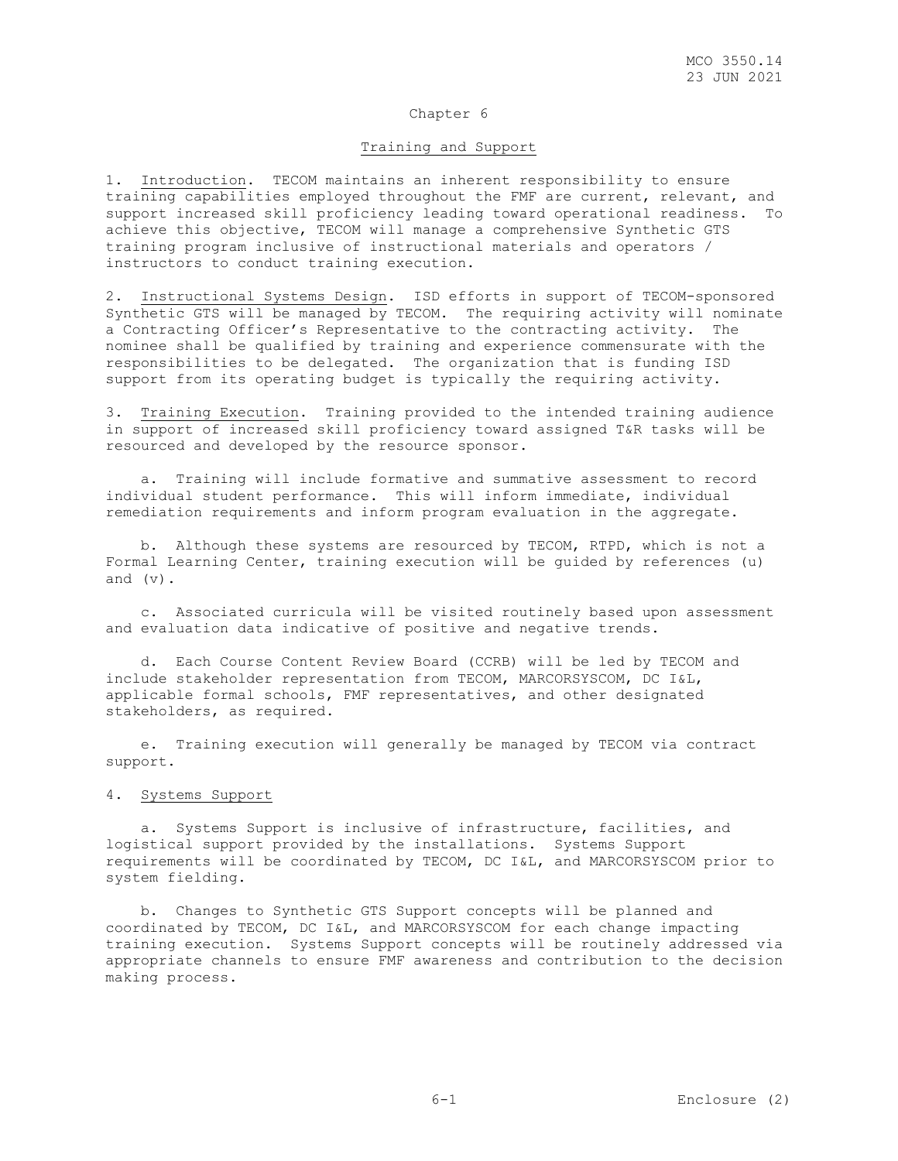#### Training and Support

1. Introduction. TECOM maintains an inherent responsibility to ensure training capabilities employed throughout the FMF are current, relevant, and support increased skill proficiency leading toward operational readiness. achieve this objective, TECOM will manage a comprehensive Synthetic GTS training program inclusive of instructional materials and operators / instructors to conduct training execution.

2. Instructional Systems Design. ISD efforts in support of TECOM-sponsored Synthetic GTS will be managed by TECOM. The requiring activity will nominate a Contracting Officer's Representative to the contracting activity. The nominee shall be qualified by training and experience commensurate with the responsibilities to be delegated. The organization that is funding ISD support from its operating budget is typically the requiring activity.

3. Training Execution. Training provided to the intended training audience in support of increased skill proficiency toward assigned T&R tasks will be resourced and developed by the resource sponsor.

 a. Training will include formative and summative assessment to record individual student performance. This will inform immediate, individual remediation requirements and inform program evaluation in the aggregate.

 b. Although these systems are resourced by TECOM, RTPD, which is not a Formal Learning Center, training execution will be guided by references (u) and (v).

 c. Associated curricula will be visited routinely based upon assessment and evaluation data indicative of positive and negative trends.

 d. Each Course Content Review Board (CCRB) will be led by TECOM and include stakeholder representation from TECOM, MARCORSYSCOM, DC I&L, applicable formal schools, FMF representatives, and other designated stakeholders, as required.

 e. Training execution will generally be managed by TECOM via contract support.

#### 4. Systems Support

 a. Systems Support is inclusive of infrastructure, facilities, and logistical support provided by the installations. Systems Support requirements will be coordinated by TECOM, DC I&L, and MARCORSYSCOM prior to system fielding.

 b. Changes to Synthetic GTS Support concepts will be planned and coordinated by TECOM, DC I&L, and MARCORSYSCOM for each change impacting training execution. Systems Support concepts will be routinely addressed via appropriate channels to ensure FMF awareness and contribution to the decision making process.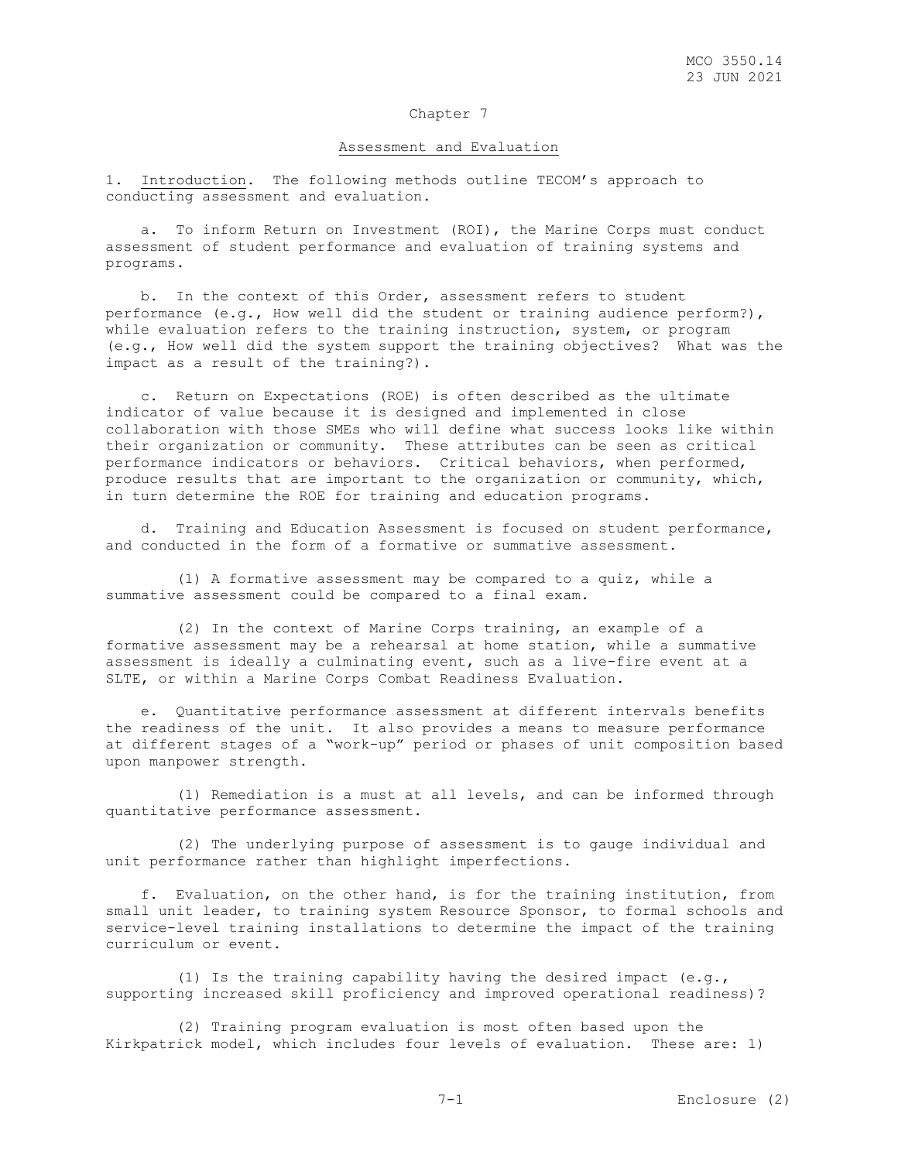#### Assessment and Evaluation

1. Introduction. The following methods outline TECOM's approach to conducting assessment and evaluation.

 a. To inform Return on Investment (ROI), the Marine Corps must conduct assessment of student performance and evaluation of training systems and programs.

 b. In the context of this Order, assessment refers to student performance (e.g., How well did the student or training audience perform?), while evaluation refers to the training instruction, system, or program (e.g., How well did the system support the training objectives? What was the impact as a result of the training?).

 c. Return on Expectations (ROE) is often described as the ultimate indicator of value because it is designed and implemented in close collaboration with those SMEs who will define what success looks like within their organization or community. These attributes can be seen as critical performance indicators or behaviors. Critical behaviors, when performed, produce results that are important to the organization or community, which, in turn determine the ROE for training and education programs.

 d. Training and Education Assessment is focused on student performance, and conducted in the form of a formative or summative assessment.

 (1) A formative assessment may be compared to a quiz, while a summative assessment could be compared to a final exam.

 (2) In the context of Marine Corps training, an example of a formative assessment may be a rehearsal at home station, while a summative assessment is ideally a culminating event, such as a live-fire event at a SLTE, or within a Marine Corps Combat Readiness Evaluation.

 e. Quantitative performance assessment at different intervals benefits the readiness of the unit. It also provides a means to measure performance at different stages of a "work-up" period or phases of unit composition based upon manpower strength.

 (1) Remediation is a must at all levels, and can be informed through quantitative performance assessment.

 (2) The underlying purpose of assessment is to gauge individual and unit performance rather than highlight imperfections.

 f. Evaluation, on the other hand, is for the training institution, from small unit leader, to training system Resource Sponsor, to formal schools and service-level training installations to determine the impact of the training curriculum or event.

 (1) Is the training capability having the desired impact (e.g., supporting increased skill proficiency and improved operational readiness)?

 (2) Training program evaluation is most often based upon the Kirkpatrick model, which includes four levels of evaluation. These are: 1)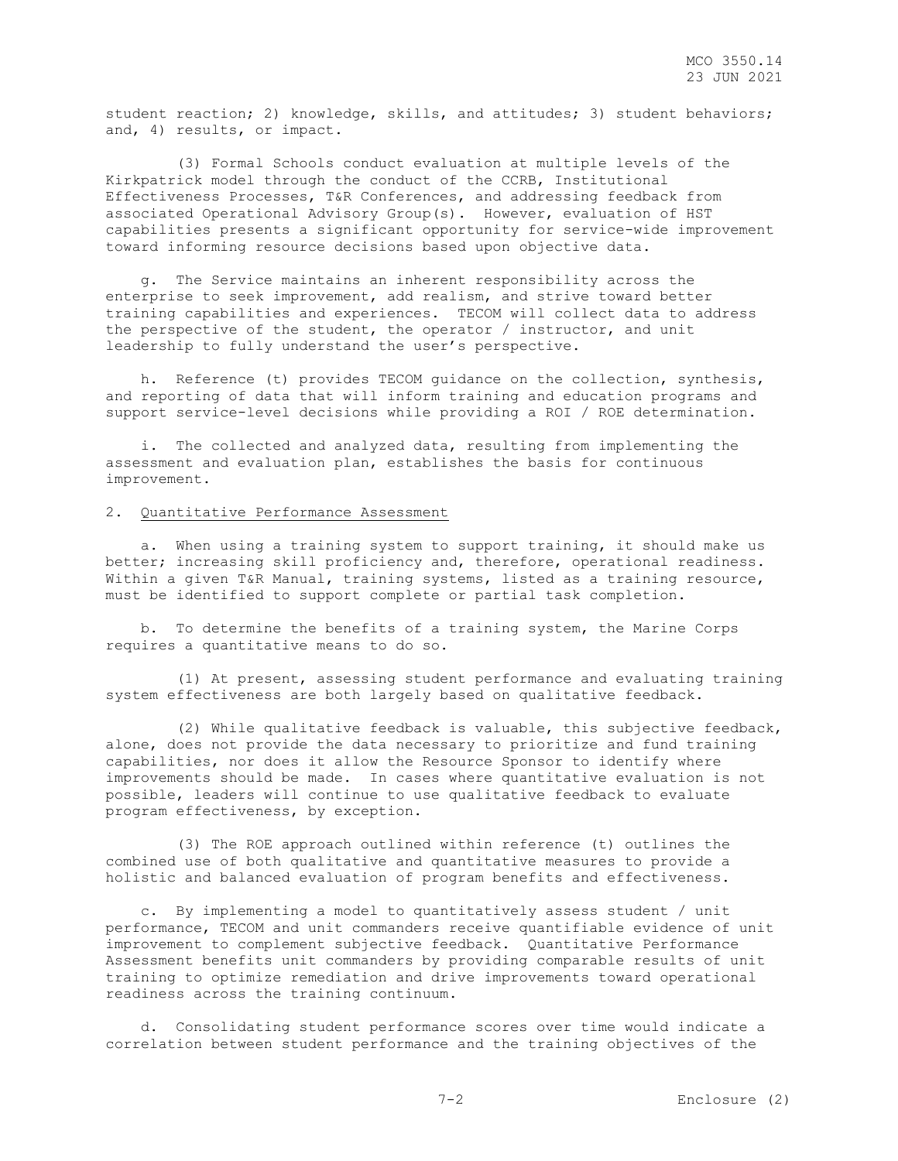student reaction; 2) knowledge, skills, and attitudes; 3) student behaviors; and, 4) results, or impact.

 (3) Formal Schools conduct evaluation at multiple levels of the Kirkpatrick model through the conduct of the CCRB, Institutional Effectiveness Processes, T&R Conferences, and addressing feedback from associated Operational Advisory Group(s). However, evaluation of HST capabilities presents a significant opportunity for service-wide improvement toward informing resource decisions based upon objective data.

 g. The Service maintains an inherent responsibility across the enterprise to seek improvement, add realism, and strive toward better training capabilities and experiences. TECOM will collect data to address the perspective of the student, the operator / instructor, and unit leadership to fully understand the user's perspective.

 h. Reference (t) provides TECOM guidance on the collection, synthesis, and reporting of data that will inform training and education programs and support service-level decisions while providing a ROI / ROE determination.

The collected and analyzed data, resulting from implementing the assessment and evaluation plan, establishes the basis for continuous improvement.

#### 2. Quantitative Performance Assessment

 a. When using a training system to support training, it should make us better; increasing skill proficiency and, therefore, operational readiness. Within a given T&R Manual, training systems, listed as a training resource, must be identified to support complete or partial task completion.

 b. To determine the benefits of a training system, the Marine Corps requires a quantitative means to do so.

 (1) At present, assessing student performance and evaluating training system effectiveness are both largely based on qualitative feedback.

 (2) While qualitative feedback is valuable, this subjective feedback, alone, does not provide the data necessary to prioritize and fund training capabilities, nor does it allow the Resource Sponsor to identify where improvements should be made. In cases where quantitative evaluation is not possible, leaders will continue to use qualitative feedback to evaluate program effectiveness, by exception.

 (3) The ROE approach outlined within reference (t) outlines the combined use of both qualitative and quantitative measures to provide a holistic and balanced evaluation of program benefits and effectiveness.

 c. By implementing a model to quantitatively assess student / unit performance, TECOM and unit commanders receive quantifiable evidence of unit improvement to complement subjective feedback. Quantitative Performance Assessment benefits unit commanders by providing comparable results of unit training to optimize remediation and drive improvements toward operational readiness across the training continuum.

 d. Consolidating student performance scores over time would indicate a correlation between student performance and the training objectives of the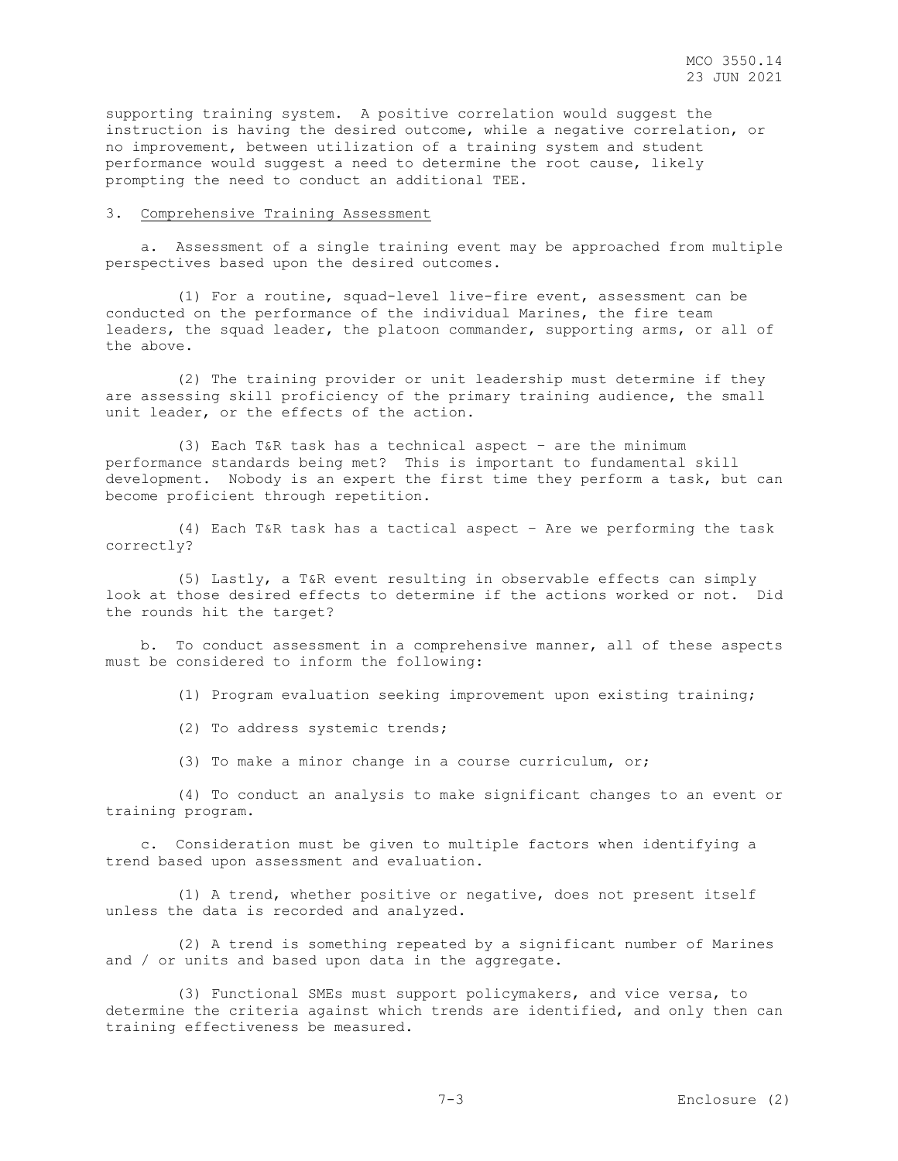supporting training system. A positive correlation would suggest the instruction is having the desired outcome, while a negative correlation, or no improvement, between utilization of a training system and student performance would suggest a need to determine the root cause, likely prompting the need to conduct an additional TEE.

#### 3. Comprehensive Training Assessment

 a. Assessment of a single training event may be approached from multiple perspectives based upon the desired outcomes.

 (1) For a routine, squad-level live-fire event, assessment can be conducted on the performance of the individual Marines, the fire team leaders, the squad leader, the platoon commander, supporting arms, or all of the above.

 (2) The training provider or unit leadership must determine if they are assessing skill proficiency of the primary training audience, the small unit leader, or the effects of the action.

 (3) Each T&R task has a technical aspect – are the minimum performance standards being met? This is important to fundamental skill development. Nobody is an expert the first time they perform a task, but can become proficient through repetition.

 (4) Each T&R task has a tactical aspect – Are we performing the task correctly?

 (5) Lastly, a T&R event resulting in observable effects can simply look at those desired effects to determine if the actions worked or not. Did the rounds hit the target?

 b. To conduct assessment in a comprehensive manner, all of these aspects must be considered to inform the following:

(1) Program evaluation seeking improvement upon existing training;

- (2) To address systemic trends;
- (3) To make a minor change in a course curriculum, or;

 (4) To conduct an analysis to make significant changes to an event or training program.

 c. Consideration must be given to multiple factors when identifying a trend based upon assessment and evaluation.

 (1) A trend, whether positive or negative, does not present itself unless the data is recorded and analyzed.

 (2) A trend is something repeated by a significant number of Marines and / or units and based upon data in the aggregate.

 (3) Functional SMEs must support policymakers, and vice versa, to determine the criteria against which trends are identified, and only then can training effectiveness be measured.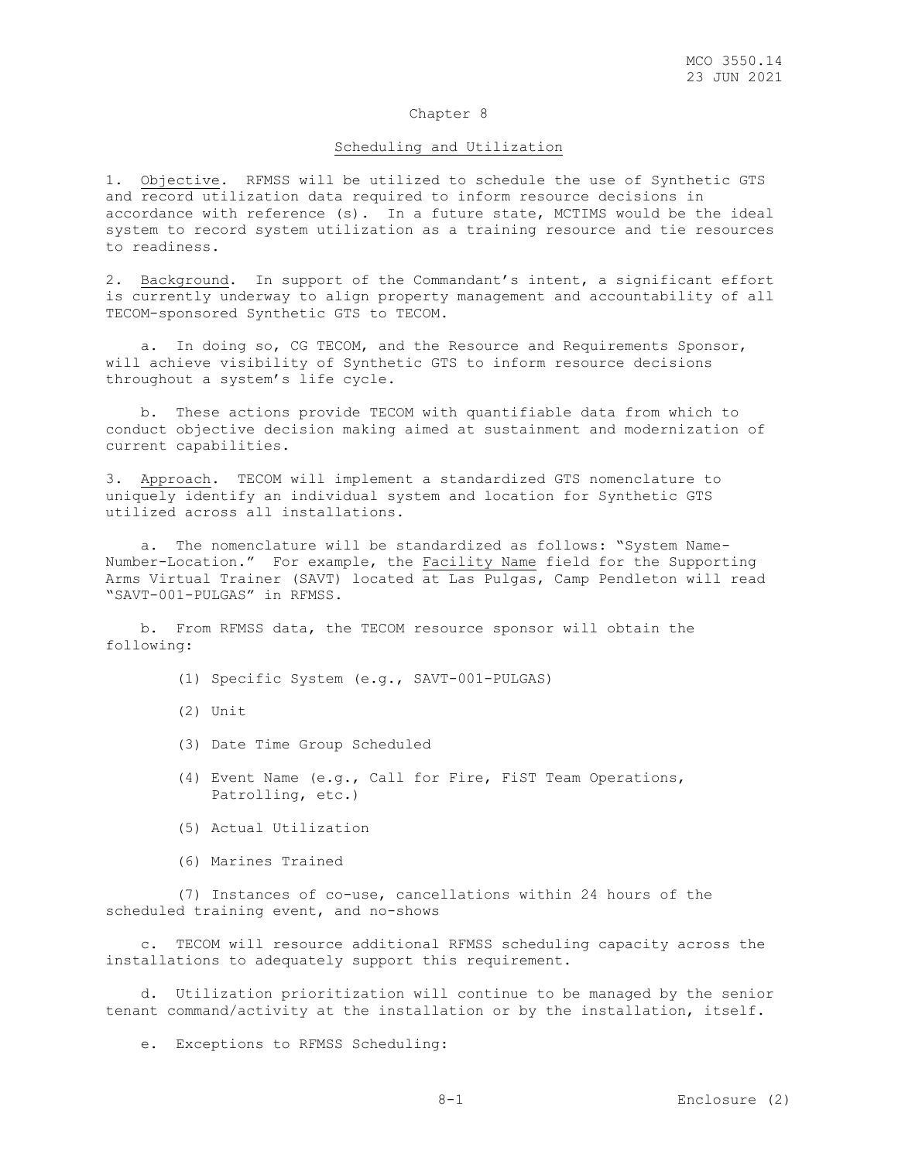#### Scheduling and Utilization

1. Objective. RFMSS will be utilized to schedule the use of Synthetic GTS and record utilization data required to inform resource decisions in accordance with reference (s). In a future state, MCTIMS would be the ideal system to record system utilization as a training resource and tie resources to readiness.

2. Background. In support of the Commandant's intent, a significant effort is currently underway to align property management and accountability of all TECOM-sponsored Synthetic GTS to TECOM.

a. In doing so, CG TECOM, and the Resource and Requirements Sponsor, will achieve visibility of Synthetic GTS to inform resource decisions throughout a system's life cycle.

 b. These actions provide TECOM with quantifiable data from which to conduct objective decision making aimed at sustainment and modernization of current capabilities.

3. Approach. TECOM will implement a standardized GTS nomenclature to uniquely identify an individual system and location for Synthetic GTS utilized across all installations.

 a. The nomenclature will be standardized as follows: "System Name-Number-Location." For example, the Facility Name field for the Supporting Arms Virtual Trainer (SAVT) located at Las Pulgas, Camp Pendleton will read "SAVT-001-PULGAS" in RFMSS.

 b. From RFMSS data, the TECOM resource sponsor will obtain the following:

(1) Specific System (e.g., SAVT-001-PULGAS)

- (2) Unit
- (3) Date Time Group Scheduled
- (4) Event Name (e.g., Call for Fire, FiST Team Operations, Patrolling, etc.)
- (5) Actual Utilization
- (6) Marines Trained

 (7) Instances of co-use, cancellations within 24 hours of the scheduled training event, and no-shows

 c. TECOM will resource additional RFMSS scheduling capacity across the installations to adequately support this requirement.

 d. Utilization prioritization will continue to be managed by the senior tenant command/activity at the installation or by the installation, itself.

e. Exceptions to RFMSS Scheduling: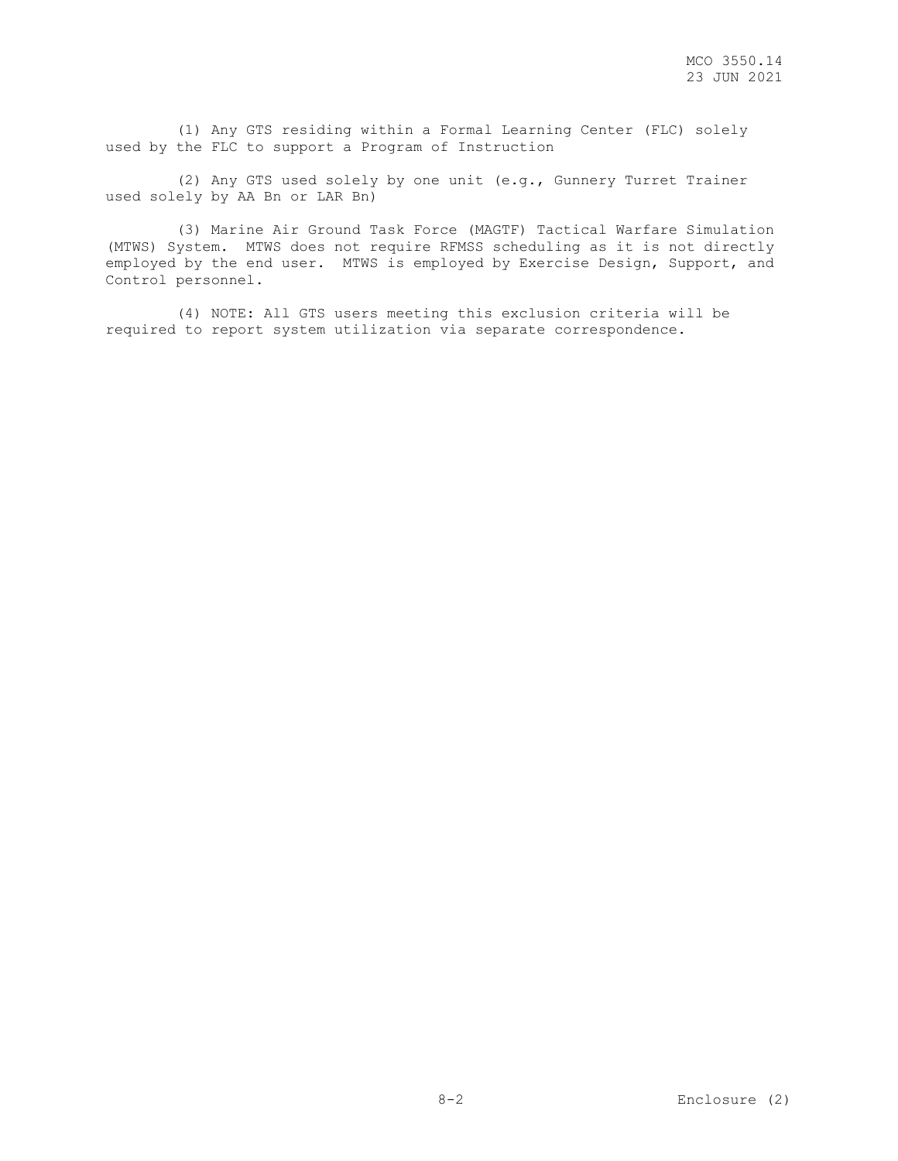(1) Any GTS residing within a Formal Learning Center (FLC) solely used by the FLC to support a Program of Instruction

 (2) Any GTS used solely by one unit (e.g., Gunnery Turret Trainer used solely by AA Bn or LAR Bn)

 (3) Marine Air Ground Task Force (MAGTF) Tactical Warfare Simulation (MTWS) System. MTWS does not require RFMSS scheduling as it is not directly employed by the end user. MTWS is employed by Exercise Design, Support, and Control personnel.

 (4) NOTE: All GTS users meeting this exclusion criteria will be required to report system utilization via separate correspondence.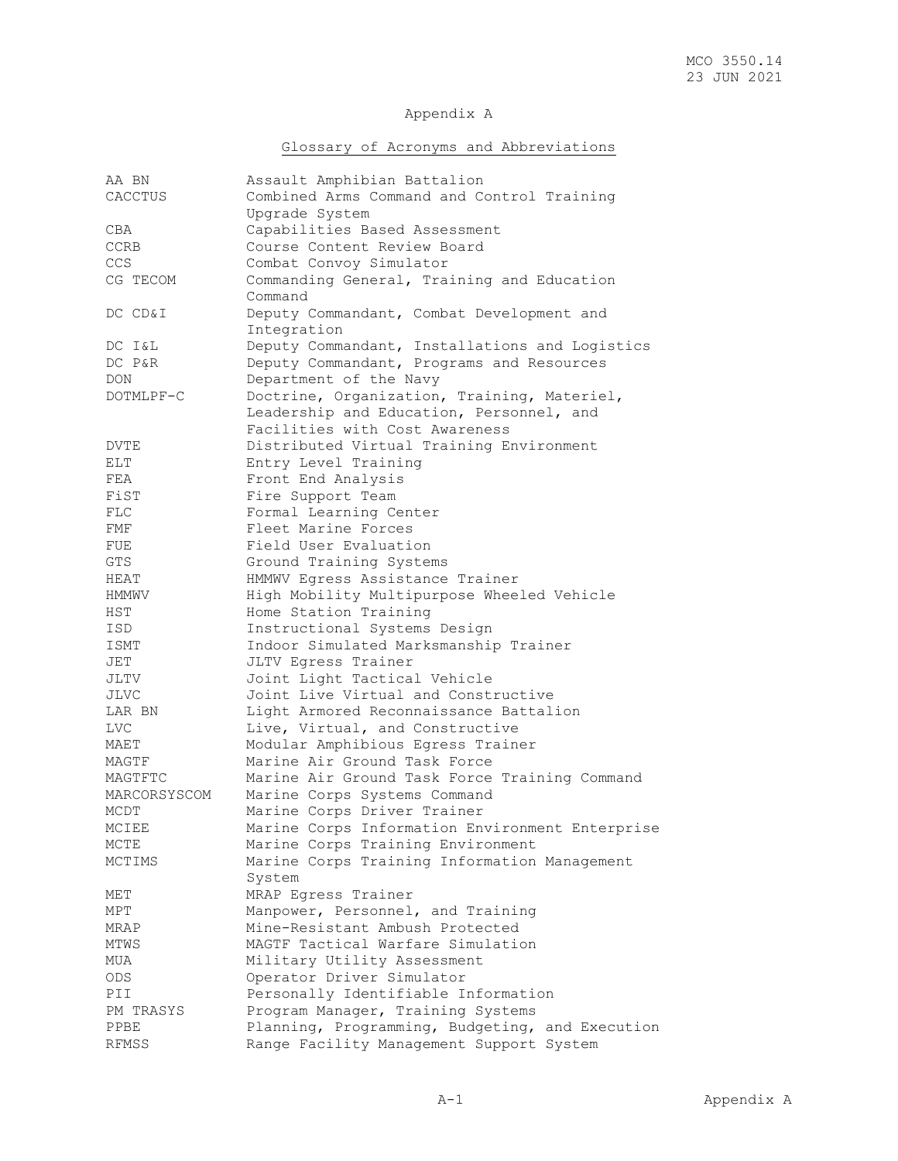# Appendix A

# Glossary of Acronyms and Abbreviations

| AA BN        | Assault Amphibian Battalion                     |
|--------------|-------------------------------------------------|
| CACCTUS      | Combined Arms Command and Control Training      |
|              | Upgrade System                                  |
| CBA          | Capabilities Based Assessment                   |
|              | Course Content Review Board                     |
| CCRB         |                                                 |
| CCS          | Combat Convoy Simulator                         |
| CG TECOM     | Commanding General, Training and Education      |
|              | Command                                         |
| DC CD&I      | Deputy Commandant, Combat Development and       |
|              | Integration                                     |
| DC I&L       | Deputy Commandant, Installations and Logistics  |
| DC P&R       | Deputy Commandant, Programs and Resources       |
| DON.         | Department of the Navy                          |
| DOTMLPF-C    | Doctrine, Organization, Training, Materiel,     |
|              | Leadership and Education, Personnel, and        |
|              |                                                 |
|              | Facilities with Cost Awareness                  |
| DVTE         | Distributed Virtual Training Environment        |
| ELT          | Entry Level Training                            |
| FEA          | Front End Analysis                              |
| FiST         | Fire Support Team                               |
| FLC          | Formal Learning Center                          |
| FMF          | Fleet Marine Forces                             |
| FUE          | Field User Evaluation                           |
| GTS.         | Ground Training Systems                         |
| HEAT         | HMMWV Egress Assistance Trainer                 |
| HMMWV        | High Mobility Multipurpose Wheeled Vehicle      |
| HST          | Home Station Training                           |
| ISD          | Instructional Systems Design                    |
| ISMT         | Indoor Simulated Marksmanship Trainer           |
|              |                                                 |
| JET          | JLTV Eqress Trainer                             |
| JLTV         | Joint Light Tactical Vehicle                    |
| JLVC         | Joint Live Virtual and Constructive             |
| LAR BN       | Light Armored Reconnaissance Battalion          |
| <b>LVC</b>   | Live, Virtual, and Constructive                 |
| MAET         | Modular Amphibious Egress Trainer               |
| MAGTF        | Marine Air Ground Task Force                    |
| MAGTFTC      | Marine Air Ground Task Force Training Command   |
| MARCORSYSCOM | Marine Corps Systems Command                    |
| MCDT         | Marine Corps Driver Trainer                     |
| MCIEE        | Marine Corps Information Environment Enterprise |
| MCTE         | Marine Corps Training Environment               |
| MCTIMS       | Marine Corps Training Information Management    |
|              | System                                          |
| MET          | MRAP Egress Trainer                             |
| MPT          | Manpower, Personnel, and Training               |
| MRAP         | Mine-Resistant Ambush Protected                 |
|              | MAGTF Tactical Warfare Simulation               |
| MTWS         |                                                 |
| MUA          | Military Utility Assessment                     |
| ODS          | Operator Driver Simulator                       |
| PII          | Personally Identifiable Information             |
| PM TRASYS    | Program Manager, Training Systems               |
| PPBE         | Planning, Programming, Budgeting, and Execution |
| <b>RFMSS</b> | Range Facility Management Support System        |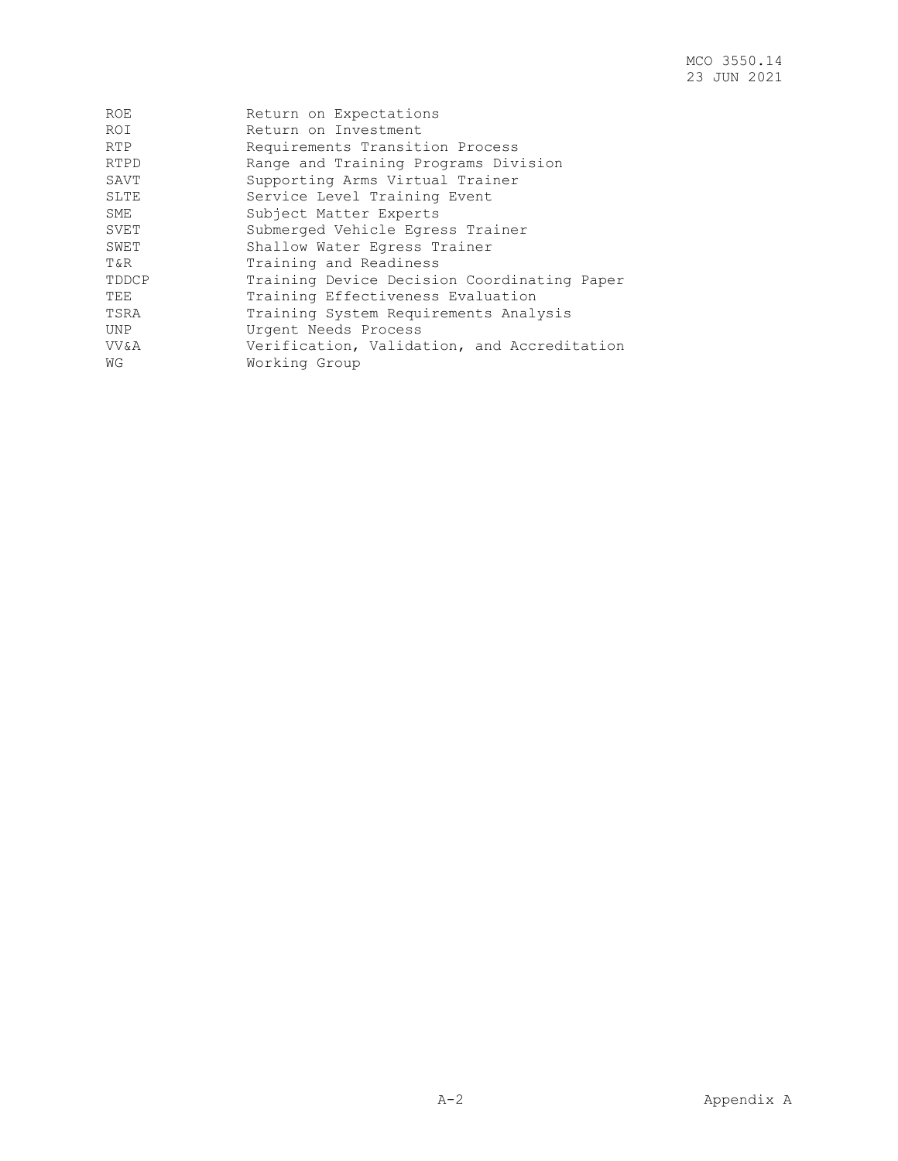| <b>ROE</b> | Return on Expectations                      |
|------------|---------------------------------------------|
| <b>ROI</b> | Return on Investment                        |
| RTP        | Requirements Transition Process             |
| RTPD       | Range and Training Programs Division        |
| SAVT       | Supporting Arms Virtual Trainer             |
| SLTE       | Service Level Training Event                |
| SME        | Subject Matter Experts                      |
| SVET       | Submerged Vehicle Egress Trainer            |
| SWET       | Shallow Water Eqress Trainer                |
| T&R        | Training and Readiness                      |
| TDDCP      | Training Device Decision Coordinating Paper |
| TEE        | Training Effectiveness Evaluation           |
| TSRA       | Training System Requirements Analysis       |
| UNP        | Urgent Needs Process                        |
| VV&A       | Verification, Validation, and Accreditation |
| WG         | Working Group                               |